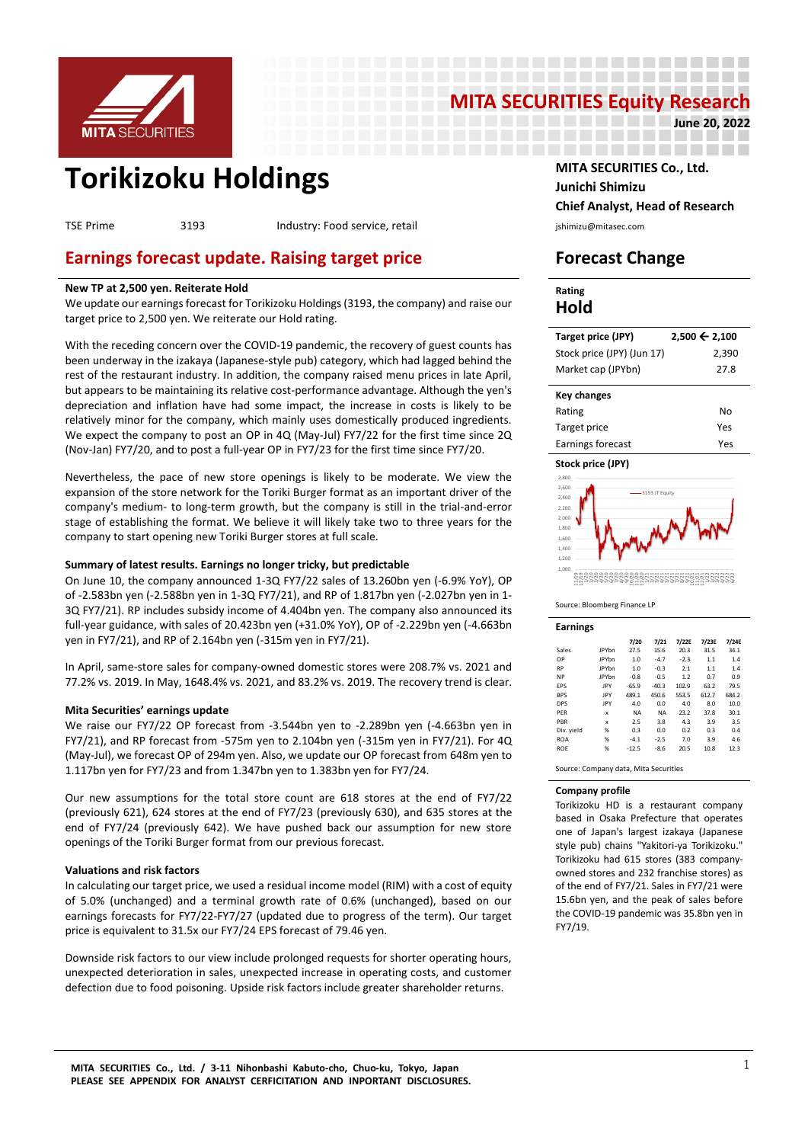

# **MITA SECURITIES Equity Research**<br>2022 - Prince 20, 2022

-------------------

-------------------

**June 20, 2022**

# **Torikizoku Holdings MITA SECURITIES Co., Ltd.**

TSE Prime 3193 Industry: Food service, retail interventional physiomizu@mitasec.com

## **Earnings forecast update. Raising target price Forecast Change**

#### **New TP at 2,500 yen. Reiterate Hold**

We update our earnings forecast for Torikizoku Holdings (3193, the company) and raise our target price to 2,500 yen. We reiterate our Hold rating.

With the receding concern over the COVID-19 pandemic, the recovery of guest counts has been underway in the izakaya (Japanese-style pub) category, which had lagged behind the rest of the restaurant industry. In addition, the company raised menu prices in late April, but appears to be maintaining its relative cost-performance advantage. Although the yen's depreciation and inflation have had some impact, the increase in costs is likely to be relatively minor for the company, which mainly uses domestically produced ingredients. We expect the company to post an OP in 4Q (May-Jul) FY7/22 for the first time since 2Q (Nov-Jan) FY7/20, and to post a full-year OP in FY7/23 for the first time since FY7/20.

Nevertheless, the pace of new store openings is likely to be moderate. We view the expansion of the store network for the Toriki Burger format as an important driver of the company's medium- to long-term growth, but the company is still in the trial-and-error stage of establishing the format. We believe it will likely take two to three years for the company to start opening new Toriki Burger stores at full scale.

#### **Summary of latest results. Earnings no longer tricky, but predictable**

On June 10, the company announced 1-3Q FY7/22 sales of 13.260bn yen (-6.9% YoY), OP of -2.583bn yen (-2.588bn yen in 1-3Q FY7/21), and RP of 1.817bn yen (-2.027bn yen in 1- 3Q FY7/21). RP includes subsidy income of 4.404bn yen. The company also announced its full-year guidance, with sales of 20.423bn yen (+31.0% YoY), OP of -2.229bn yen (-4.663bn yen in FY7/21), and RP of 2.164bn yen (-315m yen in FY7/21).

In April, same-store sales for company-owned domestic stores were 208.7% vs. 2021 and 77.2% vs. 2019. In May, 1648.4% vs. 2021, and 83.2% vs. 2019. The recovery trend is clear.

#### **Mita Securities' earnings update**

We raise our FY7/22 OP forecast from -3.544bn yen to -2.289bn yen (-4.663bn yen in FY7/21), and RP forecast from -575m yen to 2.104bn yen (-315m yen in FY7/21). For 4Q (May-Jul), we forecast OP of 294m yen. Also, we update our OP forecast from 648m yen to 1.117bn yen for FY7/23 and from 1.347bn yen to 1.383bn yen for FY7/24.

Our new assumptions for the total store count are 618 stores at the end of FY7/22 (previously 621), 624 stores at the end of FY7/23 (previously 630), and 635 stores at the end of FY7/24 (previously 642). We have pushed back our assumption for new store openings of the Toriki Burger format from our previous forecast.

#### **Valuations and risk factors**

In calculating our target price, we used a residual income model (RIM) with a cost of equity of 5.0% (unchanged) and a terminal growth rate of 0.6% (unchanged), based on our earnings forecasts for FY7/22-FY7/27 (updated due to progress of the term). Our target price is equivalent to 31.5x our FY7/24 EPS forecast of 79.46 yen.

Downside risk factors to our view include prolonged requests for shorter operating hours, unexpected deterioration in sales, unexpected increase in operating costs, and customer defection due to food poisoning. Upside risk factors include greater shareholder returns.

**Junichi Shimizu Chief Analyst, Head of Research**

| Rating |  |
|--------|--|
| Hold   |  |

-------------------

| Target price (JPY)         | $2,500$ ← 2,100 |
|----------------------------|-----------------|
| Stock price (JPY) (Jun 17) | 2,390           |
| Market cap (JPYbn)         | 27.8            |
|                            |                 |
| <b>Key changes</b>         |                 |
| Rating                     | No              |
| Target price               | Yes             |





Source: Bloomberg Finance LP

| <b>Earnings</b> |              |           |           |        |       |       |
|-----------------|--------------|-----------|-----------|--------|-------|-------|
|                 |              | 7/20      | 7/21      | 7/22E  | 7/23E | 7/24E |
| Sales           | <b>JPYbn</b> | 27.5      | 15.6      | 20.3   | 31.5  | 34.1  |
| OP              | <b>JPYbn</b> | 1.0       | $-4.7$    | $-2.3$ | 1.1   | 1.4   |
| <b>RP</b>       | <b>IPYhn</b> | 1.0       | $-0.3$    | 2.1    | 1.1   | 1.4   |
| <b>NP</b>       | <b>IPYhn</b> | $-0.8$    | $-0.5$    | 1.2    | 0.7   | 0.9   |
| EPS             | <b>IPY</b>   | $-65.9$   | $-40.3$   | 102.9  | 63.2  | 79.5  |
| <b>BPS</b>      | <b>IPY</b>   | 489.1     | 450.6     | 553.5  | 612.7 | 684.2 |
| <b>DPS</b>      | <b>IPY</b>   | 4.0       | 0.0       | 4.0    | 8.0   | 10.0  |
| PFR             | x            | <b>NA</b> | <b>NA</b> | 23.2   | 37.8  | 30.1  |
| PBR             | x            | 2.5       | 3.8       | 4.3    | 3.9   | 3.5   |
| Div. yield      | %            | 0.3       | 0.0       | 0.2    | 0.3   | 0.4   |
| <b>ROA</b>      | %            | $-4.1$    | $-2.5$    | 7.0    | 3.9   | 4.6   |
| <b>ROE</b>      | %            | $-12.5$   | $-8.6$    | 20.5   | 10.8  | 12.3  |
|                 |              |           |           |        |       |       |

Source: Company data, Mita Securities

#### **Company profile**

Torikizoku HD is a restaurant company based in Osaka Prefecture that operates one of Japan's largest izakaya (Japanese style pub) chains "Yakitori-ya Torikizoku." Torikizoku had 615 stores (383 companyowned stores and 232 franchise stores) as of the end of FY7/21. Sales in FY7/21 were 15.6bn yen, and the peak of sales before the COVID-19 pandemic was 35.8bn yen in FY7/19.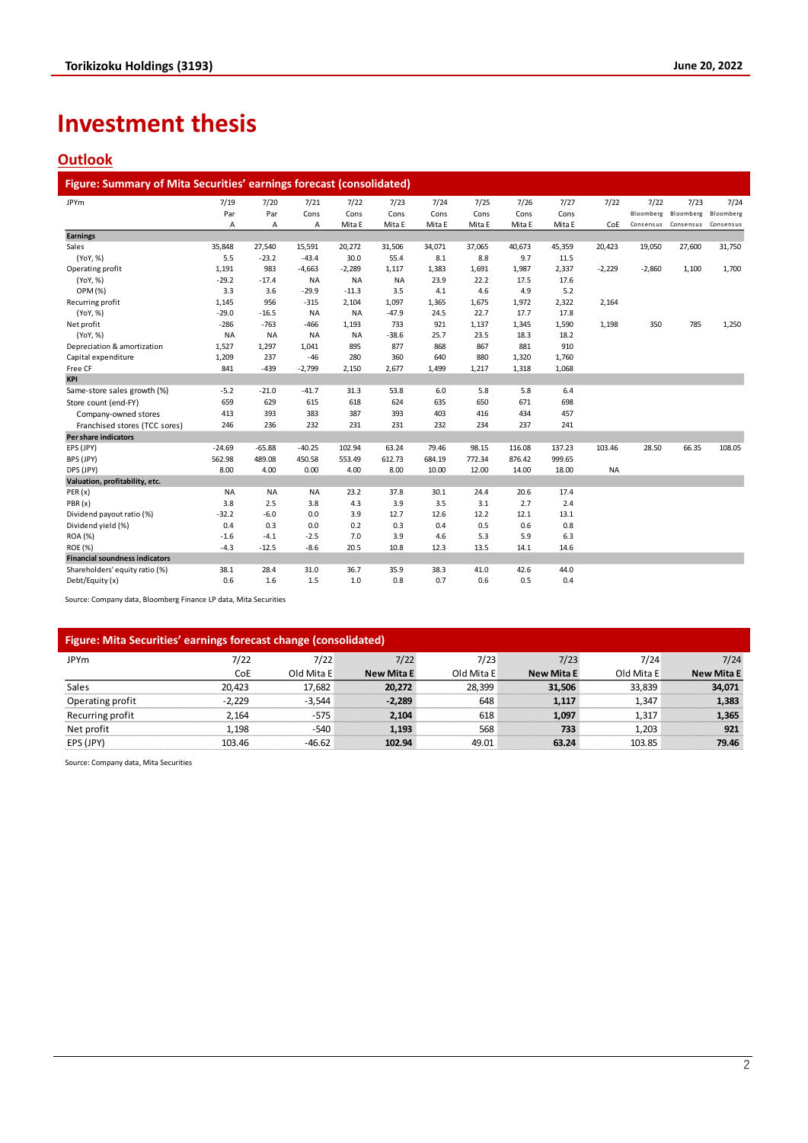# **Investment thesis**

## **Outlook**

| Figure: Summary of Mita Securities' earnings forecast (consolidated) |           |           |           |           |           |        |        |        |        |           |           |                               |           |
|----------------------------------------------------------------------|-----------|-----------|-----------|-----------|-----------|--------|--------|--------|--------|-----------|-----------|-------------------------------|-----------|
| <b>JPYm</b>                                                          | 7/19      | 7/20      | 7/21      | 7/22      | 7/23      | 7/24   | 7/25   | 7/26   | 7/27   | 7/22      | 7/22      | 7/23                          | 7/24      |
|                                                                      | Par       | Par       | Cons      | Cons      | Cons      | Cons   | Cons   | Cons   | Cons   |           |           | Bloomberg Bloomberg Bloomberg |           |
|                                                                      | Α         | Α         | Α         | Mita E    | Mita E    | Mita E | Mita E | Mita E | Mita E | CoE       | Consensus | Consensus                     | Consensus |
| <b>Earnings</b>                                                      |           |           |           |           |           |        |        |        |        |           |           |                               |           |
| Sales                                                                | 35,848    | 27,540    | 15,591    | 20,272    | 31,506    | 34,071 | 37,065 | 40,673 | 45,359 | 20,423    | 19,050    | 27,600                        | 31,750    |
| (YoY, %)                                                             | 5.5       | $-23.2$   | $-43.4$   | 30.0      | 55.4      | 8.1    | 8.8    | 9.7    | 11.5   |           |           |                               |           |
| Operating profit                                                     | 1,191     | 983       | $-4,663$  | $-2,289$  | 1,117     | 1,383  | 1,691  | 1,987  | 2,337  | $-2,229$  | $-2,860$  | 1,100                         | 1,700     |
| (YoY, %)                                                             | $-29.2$   | $-17.4$   | <b>NA</b> | <b>NA</b> | <b>NA</b> | 23.9   | 22.2   | 17.5   | 17.6   |           |           |                               |           |
| OPM (%)                                                              | 3.3       | 3.6       | $-29.9$   | $-11.3$   | 3.5       | 4.1    | 4.6    | 4.9    | 5.2    |           |           |                               |           |
| Recurring profit                                                     | 1,145     | 956       | $-315$    | 2,104     | 1,097     | 1,365  | 1,675  | 1,972  | 2,322  | 2,164     |           |                               |           |
| (YoY, %)                                                             | $-29.0$   | $-16.5$   | <b>NA</b> | <b>NA</b> | $-47.9$   | 24.5   | 22.7   | 17.7   | 17.8   |           |           |                               |           |
| Net profit                                                           | $-286$    | $-763$    | $-466$    | 1,193     | 733       | 921    | 1,137  | 1,345  | 1,590  | 1,198     | 350       | 785                           | 1,250     |
| (YoY, %)                                                             | <b>NA</b> | <b>NA</b> | <b>NA</b> | <b>NA</b> | $-38.6$   | 25.7   | 23.5   | 18.3   | 18.2   |           |           |                               |           |
| Depreciation & amortization                                          | 1,527     | 1,297     | 1,041     | 895       | 877       | 868    | 867    | 881    | 910    |           |           |                               |           |
| Capital expenditure                                                  | 1,209     | 237       | $-46$     | 280       | 360       | 640    | 880    | 1,320  | 1,760  |           |           |                               |           |
| Free CF                                                              | 841       | $-439$    | $-2,799$  | 2,150     | 2,677     | 1,499  | 1,217  | 1,318  | 1,068  |           |           |                               |           |
| <b>KPI</b>                                                           |           |           |           |           |           |        |        |        |        |           |           |                               |           |
| Same-store sales growth (%)                                          | $-5.2$    | $-21.0$   | $-41.7$   | 31.3      | 53.8      | 6.0    | 5.8    | 5.8    | 6.4    |           |           |                               |           |
| Store count (end-FY)                                                 | 659       | 629       | 615       | 618       | 624       | 635    | 650    | 671    | 698    |           |           |                               |           |
| Company-owned stores                                                 | 413       | 393       | 383       | 387       | 393       | 403    | 416    | 434    | 457    |           |           |                               |           |
| Franchised stores (TCC sores)                                        | 246       | 236       | 232       | 231       | 231       | 232    | 234    | 237    | 241    |           |           |                               |           |
| <b>Per share indicators</b>                                          |           |           |           |           |           |        |        |        |        |           |           |                               |           |
| EPS (JPY)                                                            | $-24.69$  | $-65.88$  | $-40.25$  | 102.94    | 63.24     | 79.46  | 98.15  | 116.08 | 137.23 | 103.46    | 28.50     | 66.35                         | 108.05    |
| BPS (JPY)                                                            | 562.98    | 489.08    | 450.58    | 553.49    | 612.73    | 684.19 | 772.34 | 876.42 | 999.65 |           |           |                               |           |
| DPS (JPY)                                                            | 8.00      | 4.00      | 0.00      | 4.00      | 8.00      | 10.00  | 12.00  | 14.00  | 18.00  | <b>NA</b> |           |                               |           |
| Valuation, profitability, etc.                                       |           |           |           |           |           |        |        |        |        |           |           |                               |           |
| PER(x)                                                               | <b>NA</b> | <b>NA</b> | <b>NA</b> | 23.2      | 37.8      | 30.1   | 24.4   | 20.6   | 17.4   |           |           |                               |           |
| PBR(x)                                                               | 3.8       | 2.5       | 3.8       | 4.3       | 3.9       | 3.5    | 3.1    | 2.7    | 2.4    |           |           |                               |           |
| Dividend payout ratio (%)                                            | $-32.2$   | $-6.0$    | 0.0       | 3.9       | 12.7      | 12.6   | 12.2   | 12.1   | 13.1   |           |           |                               |           |
| Dividend yield (%)                                                   | 0.4       | 0.3       | 0.0       | 0.2       | 0.3       | 0.4    | 0.5    | 0.6    | 0.8    |           |           |                               |           |
| ROA (%)                                                              | $-1.6$    | $-4.1$    | $-2.5$    | 7.0       | 3.9       | 4.6    | 5.3    | 5.9    | 6.3    |           |           |                               |           |
| <b>ROE (%)</b>                                                       | $-4.3$    | $-12.5$   | $-8.6$    | 20.5      | 10.8      | 12.3   | 13.5   | 14.1   | 14.6   |           |           |                               |           |
| <b>Financial soundness indicators</b>                                |           |           |           |           |           |        |        |        |        |           |           |                               |           |
| Shareholders' equity ratio (%)                                       | 38.1      | 28.4      | 31.0      | 36.7      | 35.9      | 38.3   | 41.0   | 42.6   | 44.0   |           |           |                               |           |
| Debt/Equity (x)                                                      | 0.6       | 1.6       | 1.5       | 1.0       | 0.8       | 0.7    | 0.6    | 0.5    | 0.4    |           |           |                               |           |

Source: Company data, Bloomberg Finance LP data, Mita Securities

# **Figure: Mita Securities' earnings forecast change (consolidated)**

| .                |          | . .        |                   |            |                   |            |                   |
|------------------|----------|------------|-------------------|------------|-------------------|------------|-------------------|
| <b>JPYm</b>      | 7/22     | 7/22       | 7/22              | 7/23       | 7/23              | 7/24       | 7/24              |
|                  | CoE      | Old Mita E | <b>New Mita E</b> | Old Mita E | <b>New Mita E</b> | Old Mita E | <b>New Mita E</b> |
| Sales            | 20.423   | 17,682     | 20,272            | 28,399     | 31,506            | 33,839     | 34,071            |
| Operating profit | $-2.229$ | $-3.544$   | $-2.289$          | 648        | 1.117             | 1.347      | 1,383             |
| Recurring profit | 2.164    | $-575$     | 2.104             | 618        | 1.097             | 1.317      | 1,365             |
| Net profit       | 1.198    | $-540$     | 1.193             | 568        | 733               | 1.203      | 921               |
| EPS (JPY)        | 103.46   | $-46.62$   | 102.94            | 49.01      | 63.24             | 103.85     | 79.46             |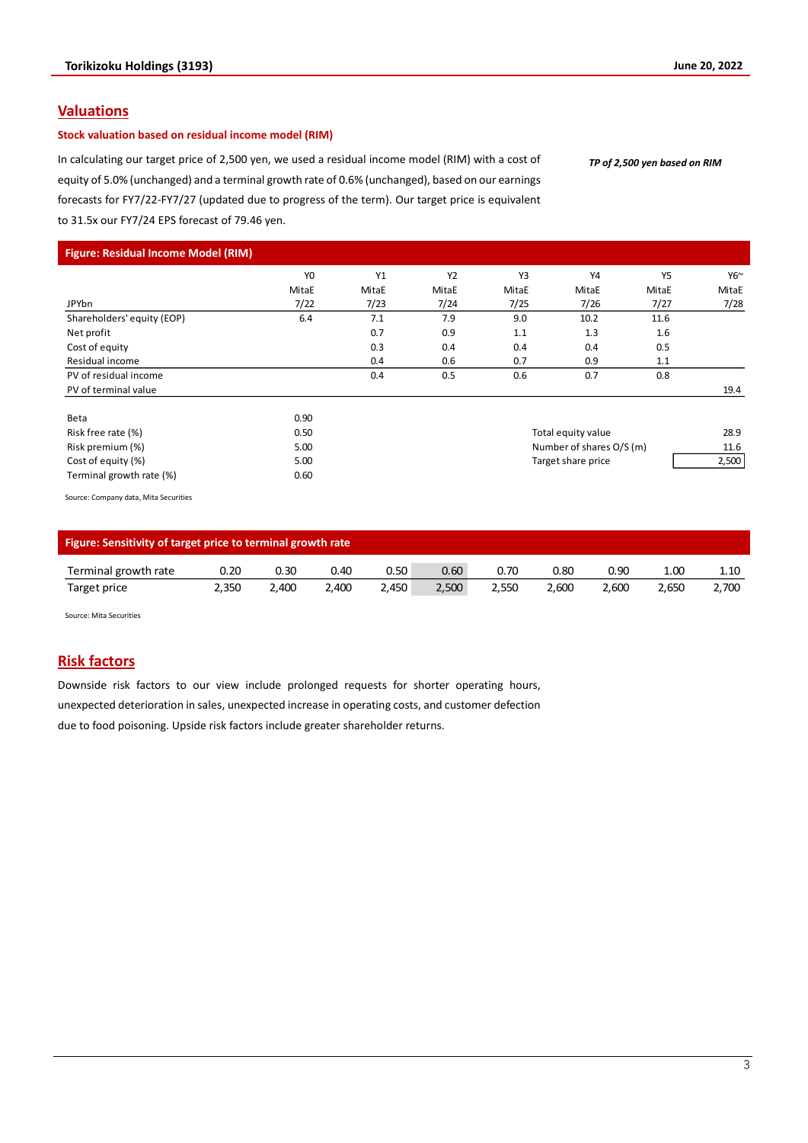### **Valuations**

### **Stock valuation based on residual income model (RIM)**

In calculating our target price of 2,500 yen, we used a residual income model (RIM) with a cost of equity of 5.0% (unchanged) and a terminal growth rate of 0.6% (unchanged), based on our earnings forecasts for FY7/22-FY7/27 (updated due to progress of the term). Our target price is equivalent to 31.5x our FY7/24 EPS forecast of 79.46 yen.

*TP of 2,500 yen based on RIM*

| Figure: Residual Income Model (RIM)   |                |       |       |       |                          |           |             |
|---------------------------------------|----------------|-------|-------|-------|--------------------------|-----------|-------------|
|                                       | Y <sub>0</sub> | Y1    | Y2    | Y3    | Y4                       | <b>Y5</b> | $Y6^{\sim}$ |
|                                       | MitaE          | MitaE | MitaE | MitaE | MitaE                    | MitaE     | MitaE       |
| JPYbn                                 | 7/22           | 7/23  | 7/24  | 7/25  | 7/26                     | 7/27      | 7/28        |
| Shareholders' equity (EOP)            | 6.4            | 7.1   | 7.9   | 9.0   | 10.2                     | 11.6      |             |
| Net profit                            |                | 0.7   | 0.9   | 1.1   | 1.3                      | 1.6       |             |
| Cost of equity                        |                | 0.3   | 0.4   | 0.4   | 0.4                      | 0.5       |             |
| Residual income                       |                | 0.4   | 0.6   | 0.7   | 0.9                      | 1.1       |             |
| PV of residual income                 |                | 0.4   | 0.5   | 0.6   | 0.7                      | 0.8       |             |
| PV of terminal value                  |                |       |       |       |                          |           | 19.4        |
| Beta                                  | 0.90           |       |       |       |                          |           |             |
| Risk free rate (%)                    | 0.50           |       |       |       | Total equity value       |           | 28.9        |
| Risk premium (%)                      | 5.00           |       |       |       | Number of shares O/S (m) |           | 11.6        |
| Cost of equity (%)                    | 5.00           |       |       |       | Target share price       |           | 2,500       |
| Terminal growth rate (%)              | 0.60           |       |       |       |                          |           |             |
| Source: Company data, Mita Securities |                |       |       |       |                          |           |             |

|                      | Figure: Sensitivity of target price to terminal growth rate |       |       |       |       |       |       |       |       |       |  |  |  |
|----------------------|-------------------------------------------------------------|-------|-------|-------|-------|-------|-------|-------|-------|-------|--|--|--|
| Terminal growth rate | 0.20                                                        | 0.30  | 0.40  | 0.50  | 0.60  | 0.70  | 0.80  | 0.90  | 1.00  | 1.10  |  |  |  |
| Target price         | 2.350                                                       | 2.400 | 2.400 | 2.450 | 2.500 | 2.550 | 2.600 | 2.600 | 2.650 | 2,700 |  |  |  |

Source: Mita Securities

### **Risk factors**

Downside risk factors to our view include prolonged requests for shorter operating hours, unexpected deterioration in sales, unexpected increase in operating costs, and customer defection due to food poisoning. Upside risk factors include greater shareholder returns.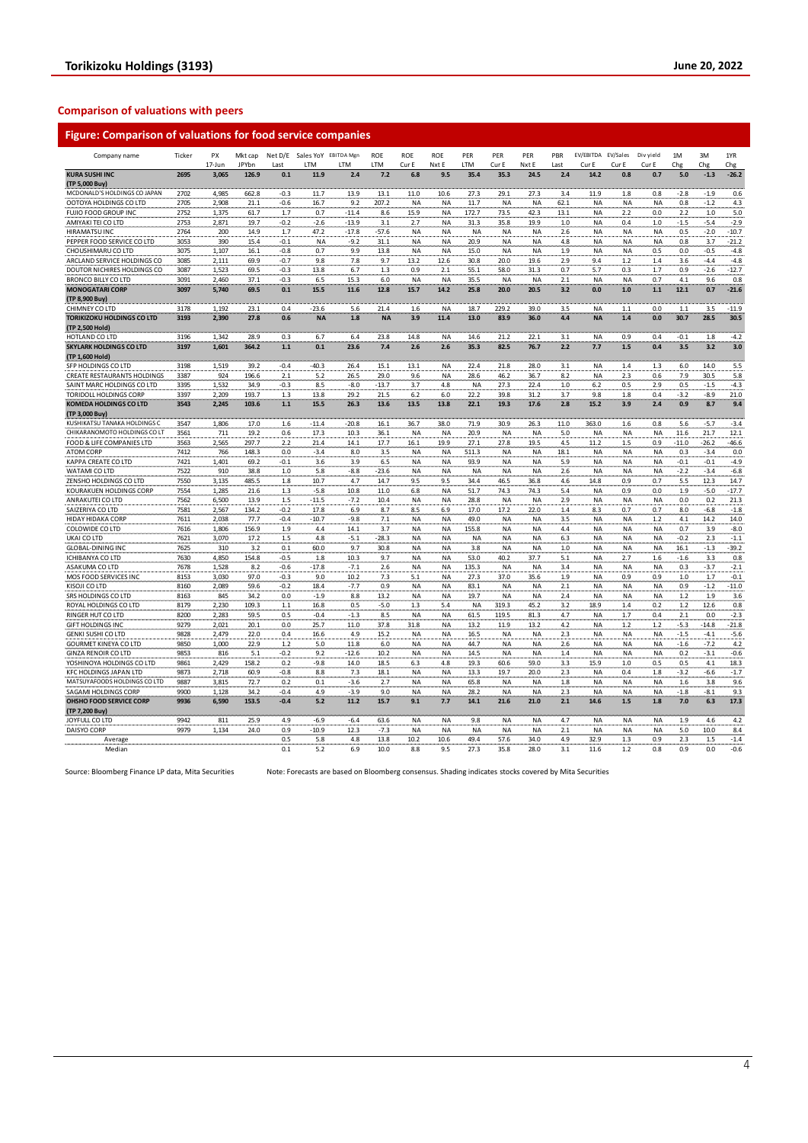#### **Comparison of valuations with peers**

| Company name                                              | Ticker       | PX             | Mkt cap       |               | Net D/E Sales YoY EBITDA Mgn |                | <b>ROE</b>   | ROE              | ROE              | PER               | PER            | PER          | PBR        | EV/EBITDA EV/Sales     |            | Div yield  | 1M         | 3M           | 1YR               |
|-----------------------------------------------------------|--------------|----------------|---------------|---------------|------------------------------|----------------|--------------|------------------|------------------|-------------------|----------------|--------------|------------|------------------------|------------|------------|------------|--------------|-------------------|
|                                                           |              | 17-Jun         | JPYbn         | Last          | <b>ITM</b>                   | LTM            | LTM          | Cur E            | Nxt E            | LTM               | Cur E          | Nxt E        | Last       | Cur E                  | Cur E      | Cur E      | Chg        | Chg          | Chg               |
| <b>KURA SUSHI INC</b><br>(TP 5,000 Buy)                   | 2695         | 3,065          | 126.9         | 0.1           | 11.9                         | 2.4            | 7.2          | 6.8              | 9.5              | 35.4              | 35.3           | 24.5         | 2.4        | 14.2                   | 0.8        | 0.7        | 5.0        | $-1.3$       | $-26.2$           |
| MCDONALD'S HOLDINGS CO JAPAN                              | 2702         | 4,985          | 662.8         | $-0.3$        | 11.7                         | 13.9           | 13.1         | 11.0             | 10.6             | 27.3              | 29.1           | 27.3         | 3.4        | 11.9                   | 1.8        | 0.8        | $-2.8$     | $-1.9$       | 0.6               |
| OOTOYA HOLDINGS CO LTD                                    | 2705         | 2,908          | 21.1          | $-0.6$        | 16.7                         | 9.2            | 207.2        | <b>NA</b>        | <b>NA</b>        | 11.7              | <b>NA</b>      | <b>NA</b>    | 62.1       | <b>NA</b>              | <b>NA</b>  | <b>NA</b>  | 0.8        | $-1.2$       | 4.3               |
| FUJIO FOOD GROUP INC                                      | 2752         | 1,375          | 61.7          | 1.7           | 0.7                          | $-11.4$        | 8.6          | 15.9             | NA               | 172.7             | 73.5           | 42.3         | 13.1       | <b>NA</b>              | 2.2        | 0.0        | 2.2        | $1.0$        | $5.0$             |
| AMIYAKI TEI CO LTD                                        | 2753         | 2,871          | 19.7          | $-0.2$        | $-2.6$                       | $-13.9$        | 3.1          | 2.7              | <b>NA</b>        | 31.3              | 35.8           | 19.9         | 1.0        | <b>NA</b>              | 0.4        | 1.0        | $-1.5$     | $-5.4$       | $-2.9$            |
| HIRAMATSU INC                                             | 2764         | 200            | 14.9          | 1.7           | 47.2                         | $-17.8$        | $-57.6$      | <b>NA</b>        | <b>NA</b>        | NA                | <b>NA</b>      | <b>NA</b>    | 2.6        | <b>NA</b>              | <b>NA</b>  | <b>NA</b>  | 0.5        | $-2.0$       | $-10.7$           |
| PEPPER FOOD SERVICE CO LTD                                | 3053         | 390            | 15.4          | $-0.1$        | <b>NA</b>                    | $-9.2$         | 31.1         | <b>NA</b>        | <b>NA</b>        | 20.9              | <b>NA</b>      | <b>NA</b>    | 4.8        | <b>NA</b>              | <b>NA</b>  | <b>NA</b>  | 0.8        | 3.7          | $-21.2$           |
| CHOUSHIMARU CO LTD                                        | 3075         | 1,107          | 16.1          | $-0.8$        | 0.7                          | 9.9            | 13.8         | <b>NA</b>        | ΝA               | 15.0              | <b>NA</b>      | <b>NA</b>    | 1.9        | NA                     | NA         | 0.5        | 0.0        | $-0.5$       | $-4.8$            |
| ARCLAND SERVICE HOLDINGS CO                               | 3085         | 2,111          | 69.9          | $-0.7$        | 9.8                          | 7.8            | 9.7          | 13.2             | 12.6             | 30.8              | 20.0           | 19.6         | 2.9        | 9.4                    | 1.2        | 1.4        | 3.6        | $-4.4$       | $-4.8$            |
| DOUTOR NICHIRES HOLDINGS CO                               | 3087         | 1,523          | 69.5          | $-0.3$        | 13.8                         | 6.7            | $1.3$        | 0.9              | 2.1              | 55.1              | 58.0           | 31.3         | 0.7        | 5.7                    | 0.3        | 1.7        | 0.9        | $-2.6$       | $-12.7$           |
| BRONCO BILLY CO LTD                                       | 3091         | 2,460          | 37.1          | $-0.3$        | 6.5                          | 15.3           | 6.0          | <b>NA</b>        | NA               | 35.5              | <b>NA</b>      | <b>NA</b>    | 2.1        | <b>NA</b>              | <b>NA</b>  | 0.7        | 4.1        | 9.6          | 0.8               |
| <b>MONOGATARI CORP</b>                                    | 3097         | 5.740          | 69.5          | 0.1           | 15.5                         | 11.6           | 12.8         | 15.7             | 14.2             | 25.8              | 20.0           | 20.5         | 3.2        | 0.0                    | 1.0        | 1.1        | 12.1       | 0.7          | $-21.6$           |
| (TP 8,900 Buy)                                            |              |                |               |               |                              |                |              |                  |                  |                   |                |              |            |                        |            |            |            |              |                   |
| CHIMNEY CO LTD                                            | 3178         | 1.192          | 23.1          | 0.4           | $-23.6$                      | 5.6            | 21.4         | 1.6              | <b>NA</b>        | 18.7              | 229.2          | 39.0         | 3.5        | <b>NA</b>              | 1.1        | 0.0        | 1.1        | 3.5          | $-11.9$           |
| <b>TORIKIZOKU HOLDINGS CO LTD</b>                         | 3193         | 2,390          | 27.8          | 0.6           | <b>NA</b>                    | 1.8            | <b>NA</b>    | 3.9              | 11.4             | 13.0              | 83.9           | 36.0         | 4.4        | <b>NA</b>              | 1.4        | 0.0        | 30.7       | 28.5         | 30.5              |
| (TP 2,500 Hold)                                           |              |                |               |               |                              |                |              |                  |                  |                   |                |              |            |                        |            |            |            |              |                   |
| HOTLAND CO LTD                                            | 3196         | 1,342          | 28.9          | 0.3           | 6.7                          | 6.4            | 23.8         | 14.8             | <b>NA</b>        | 14.6              | 21.2           | 22.1         | 3.1        | <b>NA</b>              | 0.9        | 0.4        | $-0.1$     | 1.8          | $-4.2$            |
| <b>SKYLARK HOLDINGS CO LTD</b>                            | 3197         | 1,601          | 364.2         | 1.1           | 0.1                          | 23.6           | 7.4          | 2.6              | 2.6              | 35.3              | 82.5           | 76.7         | 2.2        | 7.7                    | 1.5        | 0.4        | 3.5        | 3.2          | 3.0               |
| (TP 1,600 Hold)                                           |              |                |               |               |                              |                |              |                  |                  |                   |                |              |            |                        |            |            |            |              |                   |
| SFP HOLDINGS CO LTD                                       | 3198<br>3387 | 1,519<br>924   | 39.2<br>196.6 | $-0.4$<br>2.1 | $-40.3$<br>5.2               | 26.4<br>26.5   | 15.1<br>29.0 | 13.1<br>9.6      | NA<br>NA         | 22.4<br>28.6      | 21.8<br>46.2   | 28.0<br>36.7 | 3.1<br>8.2 | <b>NA</b><br><b>NA</b> | 1.4<br>2.3 | 1.3<br>0.6 | 6.0<br>7.9 | 14.0<br>30.5 | 5.5               |
| CREATE RESTAURANTS HOLDINGS<br>SAINT MARC HOLDINGS CO LTD | 3395         | 1,532          | 34.9          | -0.3          | 8.5                          | $-8.0$         | $-13.7$      | 3.7              | 4.8              | NA                | 27.3           | 22.4         | 1.0        | 6.2                    | 0.5        | 2.9        | 0.5        | $-1.5$       | 5.8<br>$-4.3$     |
| TORIDOLL HOLDINGS CORP                                    | 3397         | 2,209          | 193.7         | 1.3           | 13.8                         | 29.2           | 21.5         | 6.2              | 6.0              | 22.2              | 39.8           | 31.2         | 3.7        | 9.8                    | 1.8        | 0.4        | $-3.2$     | $-8.9$       | 21.0              |
| <b>KOMEDA HOLDINGS CO LTD</b>                             | 3543         | 2,245          | 103.6         | 1.1           | 15.5                         | 26.3           | 13.6         | 13.5             | 13.8             | 22.1              | 19.3           | 17.6         | 2.8        | 15.2                   | 3.9        | 2.4        | 0.9        | 8.7          | 9.4               |
| (TP 3,000 Buy)                                            |              |                |               |               |                              |                |              |                  |                  |                   |                |              |            |                        |            |            |            |              |                   |
| KUSHIKATSU TANAKA HOLDINGS C                              | 3547         | 1,806          | 17.0          | 1.6           | $-11.4$                      | $-20.8$        | 16.1         | 36.7             | 38.0             | 71.9              | 30.9           | 26.3         | 11.0       | 363.0                  | 1.6        | 0.8        | 5.6        | $-5.7$       | $-3.4$            |
| CHIKARANOMOTO HOLDINGS CO LT                              | 3561         | 711            | 19.2          | 0.6           | 17.3                         | 10.3           | 36.1         | NA               | <b>NA</b>        | 20.9              | <b>NA</b>      | <b>NA</b>    | 5.0        | <b>NA</b>              | <b>NA</b>  | <b>NA</b>  | 11.6       | 21.7         | 12.1              |
| FOOD & LIFE COMPANIES LTD                                 | 3563         | 2,565          | 297.7         | 2.2           | 21.4                         | 14.1           | 17.7         | 16.1             | 19.9             | 27.1              | 27.8           | 19.5         | 4.5        | 11.2                   | 1.5        | 0.9        | $-11.0$    | $-26.2$      | $-46.6$           |
| ATOM CORP                                                 | 7412         | 766            | 148.3         | 0.0           | $-3.4$                       | 8.0            | 3.5          | <b>NA</b>        | <b>NA</b>        | 511.3             | <b>NA</b>      | <b>NA</b>    | 18.1       | <b>NA</b>              | <b>NA</b>  | <b>NA</b>  | 0.3        | $-3.4$       | 0.0               |
| KAPPA CREATE CO LTD                                       | 7421         | 1,401          | 69.2          | $-0.1$        | 3.6                          | 3.9            | 6.5          | <b>NA</b>        | NA               | 93.9              | <b>NA</b>      | <b>NA</b>    | 5.9        | <b>NA</b>              | <b>NA</b>  | <b>NA</b>  | $-0.1$     | $-0.1$       | $-4.9$            |
| WATAMI CO LTD                                             | 7522         | 910            | 38.8          | 1.0           | 5.8                          | $-8.8$         | $-23.6$      | <b>NA</b>        | <b>NA</b>        | <b>NA</b>         | <b>NA</b>      | <b>NA</b>    | 2.6        | <b>NA</b>              | <b>NA</b>  | <b>NA</b>  | $-2.2$     | $-3.4$       | $-6.8$            |
| ZENSHO HOLDINGS CO LTD                                    | 7550         | 3,135          | 485.5         | 1.8           | 10.7                         | 4.7            | 14.7         | 9.5              | 9.5              | 34.4              | 46.5           | 36.8         | 4.6        | 14.8                   | 0.9        | 0.7        | 5.5        | 12.3         | 14.7              |
| KOURAKUEN HOLDINGS CORP                                   | 7554         | 1,285          | 21.6          | 1.3           | $-5.8$                       | 10.8           | 11.0         | 6.8              | NA               | 51.7              | 74.3           | 74.3         | 5.4        | NA                     | 0.9        | 0.0        | 1.9        | $-5.0$       | $-17.7$           |
| ANRAKUTEI CO LTD                                          | 7562         | 6,500          | 13.9          | 1.5           | $-11.5$                      | $-7.2$         | 10.4         | <b>NA</b>        | NA               | 28.8              | <b>NA</b>      | <b>NA</b>    | 2.9        | <b>NA</b>              | <b>NA</b>  | <b>NA</b>  | 0.0        | 0.2          | 21.3              |
| SAIZERIYA CO LTD                                          | 7581         | 2,567          | 134.2         | $-0.2$        | 17.8                         | 6.9            | 8.7          | 8.5              | 6.9              | 17.0              | 17.2           | 22.0         | 1.4        | 8.3                    | 0.7        | 0.7        | 8.0        | $-6.8$       | $-1.8$            |
| HIDAY HIDAKA CORP                                         | 7611         | 2.038          | 77.7          | $-0.4$        | $-10.7$                      | $-9.8$         | 7.1          | <b>NA</b>        | <b>NA</b>        | 49.0              | <b>NA</b>      | <b>NA</b>    | 3.5        | <b>NA</b>              | <b>NA</b>  | 1.2        | 4.1        | 14.2         | 14.0              |
| COLOWIDE CO LTD                                           | 7616         | 1,806          | 156.9         | 1.9           | 4.4                          | 14.1           | 3.7          | NA               | NA               | 155.8             | <b>NA</b>      | <b>NA</b>    | 4.4        | <b>NA</b>              | <b>NA</b>  | <b>NA</b>  | 0.7        | 3.9          | $-8.0$            |
| UKAI CO LTD                                               | 7621         | 3,070          | 17.2          | $1.5$         | 4.8                          | $-5.1$         | $-28.3$      | <b>NA</b>        | NA               | <b>NA</b>         | <b>NA</b>      | <b>NA</b>    | 6.3        | <b>NA</b>              | <b>NA</b>  | <b>NA</b>  | $-0.2$     | 2.3          | $-1.1$            |
| <b>GLOBAL-DINING INC</b>                                  | 7625         | 310            | 3.2           | 0.1           | 60.0                         | 9.7            | 30.8         | NA               | NA               | 3.8               | <b>NA</b>      | <b>NA</b>    | 1.0        | <b>NA</b>              | <b>NA</b>  | NA         | 16.1       | $-1.3$       | $-39.2$           |
| ICHIBANYA CO LTD                                          | 7630         | 4,850          | 154.8         | $-0.5$        | 1.8                          | 10.3           | 9.7          | <b>NA</b>        | ΝA               | 53.0              | 40.2           | 37.7         | 5.1        | <b>NA</b>              | 2.7        | 1.6        | $-1.6$     | 3.3          | 0.8               |
| ASAKUMA CO LTD                                            | 7678         | 1,528          | 8.2           | $-0.6$        | $-17.8$                      | $-7.1$         | 2.6          | <b>NA</b>        | NA               | 135.3             | <b>NA</b>      | <b>NA</b>    | 3.4        | <b>NA</b>              | <b>NA</b>  | <b>NA</b>  | 0.3        | $-3.7$       | $-2.1$            |
| MOS FOOD SERVICES INC                                     | 8153         | 3,030          | 97.0          | $-0.3$        | 9.0                          | 10.2           | 7.3          | 5.1              | NA               | 27.3              | 37.0           | 35.6         | 1.9        | <b>NA</b>              | 0.9        | 0.9        | 1.0        | 1.7          | $-0.1$            |
| KISOJI CO LTD                                             | 8160         | 2,089          | 59.6          | $-0.2$        | 18.4                         | $-7.7$         | 0.9          | <b>NA</b>        | NA               | 83.1              | <b>NA</b>      | <b>NA</b>    | 2.1        | <b>NA</b>              | <b>NA</b>  | <b>NA</b>  | 0.9        | $-1.2$       | $-11.0$           |
| SRS HOLDINGS CO LTD                                       | 8163         | 845            | 34.2          | 0.0           | $-1.9$                       | 8.8            | 13.2         | <b>NA</b>        | NA               | 19.7              | <b>NA</b>      | <b>NA</b>    | 2.4        | <b>NA</b>              | <b>NA</b>  | <b>NA</b>  | 1.2        | 1.9          | 3.6               |
| ROYAL HOLDINGS CO LTD<br>RINGER HUT CO LTD                | 8179         | 2,230          | 109.3         | $1.1$         | 16.8<br>$-0.4$               | 0.5            | $-5.0$       | 1.3<br><b>NA</b> | 5.4<br><b>NA</b> | <b>NA</b><br>61.5 | 319.3<br>119.5 | 45.2         | 3.2<br>4.7 | 18.9<br><b>NA</b>      | 1.4        | 0.2<br>0.4 | 1.2<br>2.1 | 12.6<br>0.0  | 0.8               |
| <b>GIFT HOLDINGS INC</b>                                  | 8200<br>9279 | 2,283<br>2,021 | 59.5<br>20.1  | 0.5<br>0.0    | 25.7                         | $-1.3$<br>11.0 | 8.5<br>37.8  | 31.8             | NA               | 13.2              | 11.9           | 81.3<br>13.2 | 4.2        | <b>NA</b>              | 1.7<br>1.2 | 1.2        | $-5.3$     | $-14.8$      | $-2.3$<br>$-21.8$ |
| <b>GENKI SUSHI CO LTD</b>                                 | 9828         | 2,479          | 22.0          | 0.4           | 16.6                         | 4.9            | 15.2         | <b>NA</b>        | NA               | 16.5              | <b>NA</b>      | <b>NA</b>    | 2.3        | <b>NA</b>              | <b>NA</b>  | <b>NA</b>  | $-1.5$     | $-4.1$       | $-5.6$            |
| GOURMET KINEYA CO LTD                                     | 9850         | 1,000          | 22.9          | 1.2           | 5.0                          | 11.8           | 6.0          | <b>NA</b>        | NA               | 44.7              | <b>NA</b>      | <b>NA</b>    | 2.6        | <b>NA</b>              | <b>NA</b>  | <b>NA</b>  | $-1.6$     | $-7.2$       | 4.2               |
| <b>GINZA RENOIR CO LTD</b>                                | 9853         | 816            | 5.1           | $-0.2$        | 9.2                          | $-12.6$        | 10.2         | <b>NA</b>        | NA               | 14.5              | <b>NA</b>      | <b>NA</b>    | 1.4        | <b>NA</b>              | ΝA         | <b>NA</b>  | 0.2        | $-3.1$       | $-0.6$            |
| YOSHINOYA HOLDINGS CO LTD                                 | 9861         | 2.429          | 158.2         | 0.2           | $-9.8$                       | 14.0           | 18.5         | 6.3              | 4.8              | 19.3              | 60.6           | 59.0         | 3.3        | 15.9                   | 1.0        | 0.5        | 0.5        | 4.1          | 18.3              |
| KFC HOLDINGS JAPAN LTD                                    | 9873         | 2,718          | 60.9          | $-0.8$        | 8.8                          | 7.3            | 18.1         | <b>NA</b>        | NA               | 13.3              | 19.7           | 20.0         | 2.3        | <b>NA</b>              | 0.4        | 1.8        | $-3.2$     | $-6.6$       | $-1.7$            |
| MATSUYAFOODS HOLDINGS CO LTD                              | 9887         | 3,815          | 72.7          | 0.2           | 0.1                          | $-3.6$         | 2.7          | <b>NA</b>        | <b>NA</b>        | 65.8              | <b>NA</b>      | <b>NA</b>    | 1.8        | <b>NA</b>              | <b>NA</b>  | <b>NA</b>  | 1.6        | 3.8          | 9.6               |
| SAGAMI HOLDINGS CORP                                      | 9900         | 1,128          | 34.2          | $-0.4$        | 4.9                          | $-3.9$         | 9.0          | <b>NA</b>        | NA               | 28.2              | <b>NA</b>      | <b>NA</b>    | 2.3        | <b>NA</b>              | <b>NA</b>  | <b>NA</b>  | $-1.8$     | $-8.1$       | 9.3               |
| OHSHO FOOD SERVICE CORP                                   | 9936         | 6,590          | 153.5         | $-0.4$        | 5.2                          | 11.2           | 15.7         | 9.1              | 7.7              | 14.1              | 21.6           | 21.0         | 2.1        | 14.6                   | 1.5        | 1.8        | 7.0        | 6.3          | 17.3              |
| (TP 7,200 Buy)                                            |              |                |               |               |                              |                |              |                  |                  |                   |                |              |            |                        |            |            |            |              |                   |
| JOYFULL CO LTD                                            | 9942         | 811            | 25.9          | 4.9           | $-6.9$                       | $-6.4$         | 63.6         | <b>NA</b>        | NA               | 9.8               | <b>NA</b>      | <b>NA</b>    | 4.7        | <b>NA</b>              | <b>NA</b>  | <b>NA</b>  | 1.9        | 4.6          | 4.2               |
| <b>DAISYO CORP</b>                                        | 9979         | 1,134          | 24.0          | 0.9           | $-10.9$                      | 12.3           | $-7.3$       | <b>NA</b>        | <b>NA</b>        | <b>NA</b>         | <b>NA</b>      | <b>NA</b>    | 2.1        | <b>NA</b>              | <b>NA</b>  | <b>NA</b>  | 5.0        | 10.0         | 8.4               |
| Average                                                   |              |                |               | 0.5           | 5.8                          | 4.8            | 13.8         | 10.2             | 10.6             | 49.4              | 57.6           | 34.0         | 4.9        | 32.9                   | 1.3        | 0.9        | 2.3        | 1.5          | $-1.4$            |
| Median                                                    |              |                |               | 0.1           | 5.2                          | 6.9            | 10.0         | 8.8              | 9.5              | 27.3              | 35.8           | 28.0         | 3.1        | 11.6                   | 1.2        | 0.8        | 0.9        | 0.0          | $-0.6$            |

Source: Bloomberg Finance LP data, Mita Securities Note: Forecasts are based on Bloomberg consensus. Shading indicates stocks covered by Mita Securities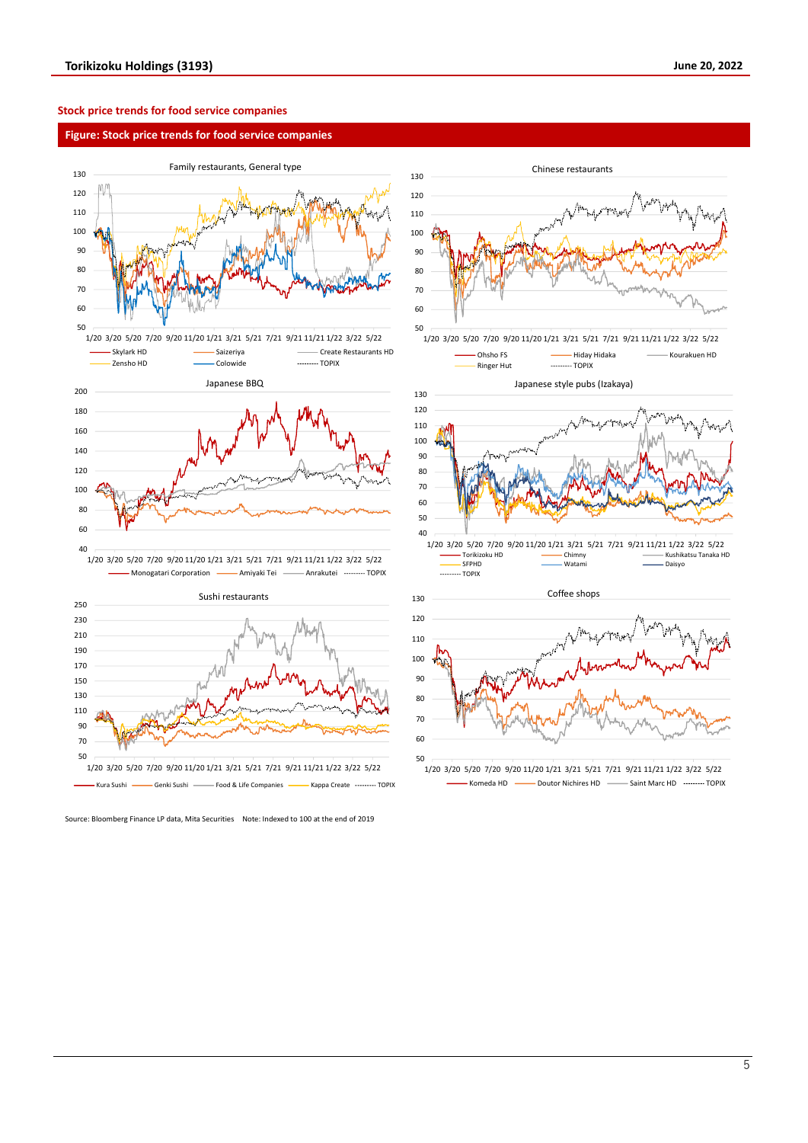#### **Stock price trends for food service companies**

#### **Figure: Stock price trends for food service companies**





Source: Bloomberg Finance LP data, Mita Securities Note: Indexed to 100 at the end of 2019



1/20 3/20 5/20 7/20 9/20 11/20 1/21 3/21 5/21 7/21 9/21 11/21 1/22 3/22 5/22  $-$  Komeda HD  $-$  Doutor Nichires HD  $-$  Saint Marc HD  $-$  TOPIX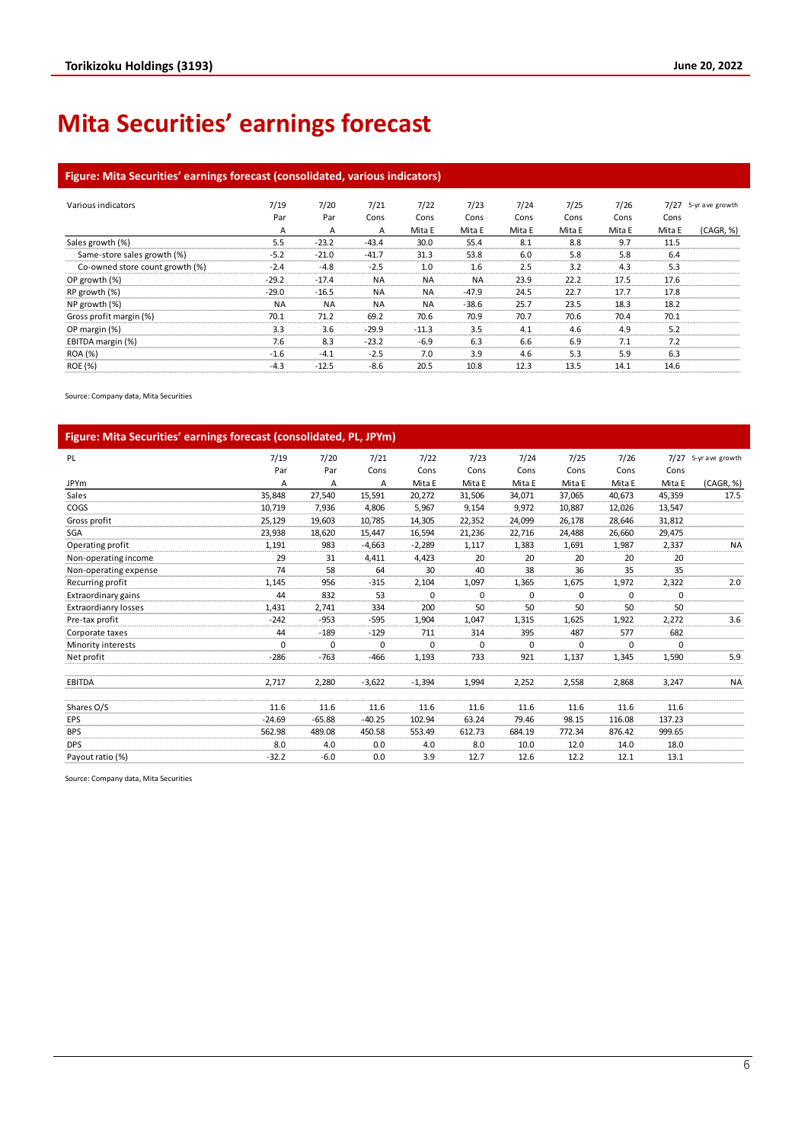# **Mita Securities' earnings forecast**

### **Figure: Mita Securities' earnings forecast (consolidated, various indicators)**

| Various indicators              | 7/19      | 7/20      | 7/21      | 7/22      | 7/23      | 7/24   | 7/25   | 7/26   | 7/27   | 5-yr ave growth |
|---------------------------------|-----------|-----------|-----------|-----------|-----------|--------|--------|--------|--------|-----------------|
|                                 | Par       | Par       | Cons      | Cons      | Cons      | Cons   | Cons   | Cons   | Cons   |                 |
|                                 | A         | A         | A         | Mita E    | Mita E    | Mita E | Mita E | Mita E | Mita E | (CAGR, %)       |
| Sales growth (%)                | 5.5       | $-23.2$   | $-43.4$   | 30.0      | 55.4      | 8.1    | 8.8    | 9.7    | 11.5   |                 |
| Same-store sales growth (%)     | $-5.2$    | $-21.0$   | $-41.7$   | 31.3      | 53.8      | 6.0    | 5.8    | 5.8    | 6.4    |                 |
| Co-owned store count growth (%) | $-2.4$    | $-4.8$    | $-2.5$    | 1.0       | 1.6       | 2.5    | 3.2    | 4.3    | 5.3    |                 |
| OP growth (%)                   | $-29.2$   | $-17.4$   | <b>NA</b> | <b>NA</b> | <b>NA</b> | 23.9   | 22.2   | 17.5   | 17.6   |                 |
| RP growth (%)                   | $-29.0$   | $-16.5$   | <b>NA</b> | <b>NA</b> | $-47.9$   | 24.5   | 22.7   | 17.7   | 17.8   |                 |
| NP growth (%)                   | <b>NA</b> | <b>NA</b> | <b>NA</b> | <b>NA</b> | $-38.6$   | 25.7   | 23.5   | 18.3   | 18.2   |                 |
| Gross profit margin (%)         | 70.1      | 71.2      | 69.2      | 70.6      | 70.9      | 70.7   | 70.6   | 70.4   | 70.1   |                 |
| OP margin (%)                   | 3.3       | 3.6       | $-29.9$   | $-11.3$   | 3.5       | 4.1    | 4.6    | 4.9    | 5.2    |                 |
| EBITDA margin (%)               | 7.6       | 8.3       | $-23.2$   | $-6.9$    | 6.3       | 6.6    | 6.9    | 7.1    | 7.2    |                 |
| <b>ROA</b> (%)                  | $-1.6$    | $-4.1$    | $-2.5$    | 7.0       | 3.9       | 4.6    | 5.3    | 5.9    | 6.3    |                 |
| <b>ROE</b> (%)                  | $-4.3$    | $-12.5$   | $-8.6$    | 20.5      | 10.8      | 12.3   | 13.5   | 14.1   | 14.6   |                 |

Source: Company data, Mita Securities

| Figure: Mita Securities' earnings forecast (consolidated, PL, JPYm) |          |             |          |          |             |        |          |        |          |                 |  |  |  |
|---------------------------------------------------------------------|----------|-------------|----------|----------|-------------|--------|----------|--------|----------|-----------------|--|--|--|
| PL                                                                  | 7/19     | 7/20        | 7/21     | 7/22     | 7/23        | 7/24   | 7/25     | 7/26   | 7/27     | 5-yr ave growth |  |  |  |
|                                                                     | Par      | Par         | Cons     | Cons     | Cons        | Cons   | Cons     | Cons   | Cons     |                 |  |  |  |
| <b>JPYm</b>                                                         | Α        | A           | A        | Mita E   | Mita E      | Mita E | Mita E   | Mita E | Mita E   | (CAGR, %)       |  |  |  |
| Sales                                                               | 35,848   | 27,540      | 15.591   | 20.272   | 31,506      | 34,071 | 37.065   | 40.673 | 45,359   | 17.5            |  |  |  |
| COGS                                                                | 10,719   | 7,936       | 4,806    | 5,967    | 9,154       | 9,972  | 10,887   | 12,026 | 13,547   |                 |  |  |  |
| Gross profit                                                        | 25,129   | 19,603      | 10,785   | 14,305   | 22,352      | 24,099 | 26,178   | 28,646 | 31,812   |                 |  |  |  |
| SGA                                                                 | 23,938   | 18,620      | 15.447   | 16,594   | 21,236      | 22.716 | 24.488   | 26,660 | 29,475   |                 |  |  |  |
| Operating profit                                                    | 1,191    | 983         | $-4.663$ | $-2,289$ | 1,117       | 1,383  | 1,691    | 1,987  | 2,337    | <b>NA</b>       |  |  |  |
| Non-operating income                                                | 29       | 31          | 4,411    | 4,423    | 20          | 20     | 20       | 20     | 20       |                 |  |  |  |
| Non-operating expense                                               | 74       | 58          | 64       | 30       | 40          | 38     | 36       | 35     | 35       |                 |  |  |  |
| Recurring profit                                                    | 1,145    | 956         | $-315$   | 2,104    | 1,097       | 1,365  | 1,675    | 1,972  | 2,322    | 2.0             |  |  |  |
| Extraordinary gains                                                 | 44       | 832         | 53       | 0        | $\Omega$    | 0      | $\Omega$ | 0      | $\Omega$ |                 |  |  |  |
| <b>Extraordianry losses</b>                                         | 1,431    | 2,741       | 334      | 200      | 50          | 50     | 50       | 50     | 50       |                 |  |  |  |
| Pre-tax profit                                                      | $-242$   | $-953$      | $-595$   | 1,904    | 1,047       | 1,315  | 1,625    | 1,922  | 2,272    | 3.6             |  |  |  |
| Corporate taxes                                                     | 44       | $-189$      | $-129$   | 711      | 314         | 395    | 487      | 577    | 682      |                 |  |  |  |
| Minority interests                                                  | 0        | $\mathbf 0$ | 0        | 0        | $\mathbf 0$ | 0      | $\Omega$ | 0      | 0        |                 |  |  |  |
| Net profit                                                          | $-286$   | $-763$      | $-466$   | 1,193    | 733         | 921    | 1,137    | 1,345  | 1,590    | 5.9             |  |  |  |
| <b>EBITDA</b>                                                       | 2,717    | 2,280       | $-3,622$ | $-1,394$ | 1,994       | 2,252  | 2,558    | 2,868  | 3,247    | <b>NA</b>       |  |  |  |
| Shares O/S                                                          | 11.6     | 11.6        | 11.6     | 11.6     | 11.6        | 11.6   | 11.6     | 11.6   | 11.6     |                 |  |  |  |
| EPS                                                                 | $-24.69$ | $-65.88$    | $-40.25$ | 102.94   | 63.24       | 79.46  | 98.15    | 116.08 | 137.23   |                 |  |  |  |
| <b>BPS</b>                                                          | 562.98   | 489.08      | 450.58   | 553.49   | 612.73      | 684.19 | 772.34   | 876.42 | 999.65   |                 |  |  |  |
| <b>DPS</b>                                                          | 8.0      | 4.0         | 0.0      | 4.0      | 8.0         | 10.0   | 12.0     | 14.0   | 18.0     |                 |  |  |  |
| Payout ratio (%)                                                    | $-32.2$  | $-6.0$      | 0.0      | 3.9      | 12.7        | 12.6   | 12.2     | 12.1   | 13.1     |                 |  |  |  |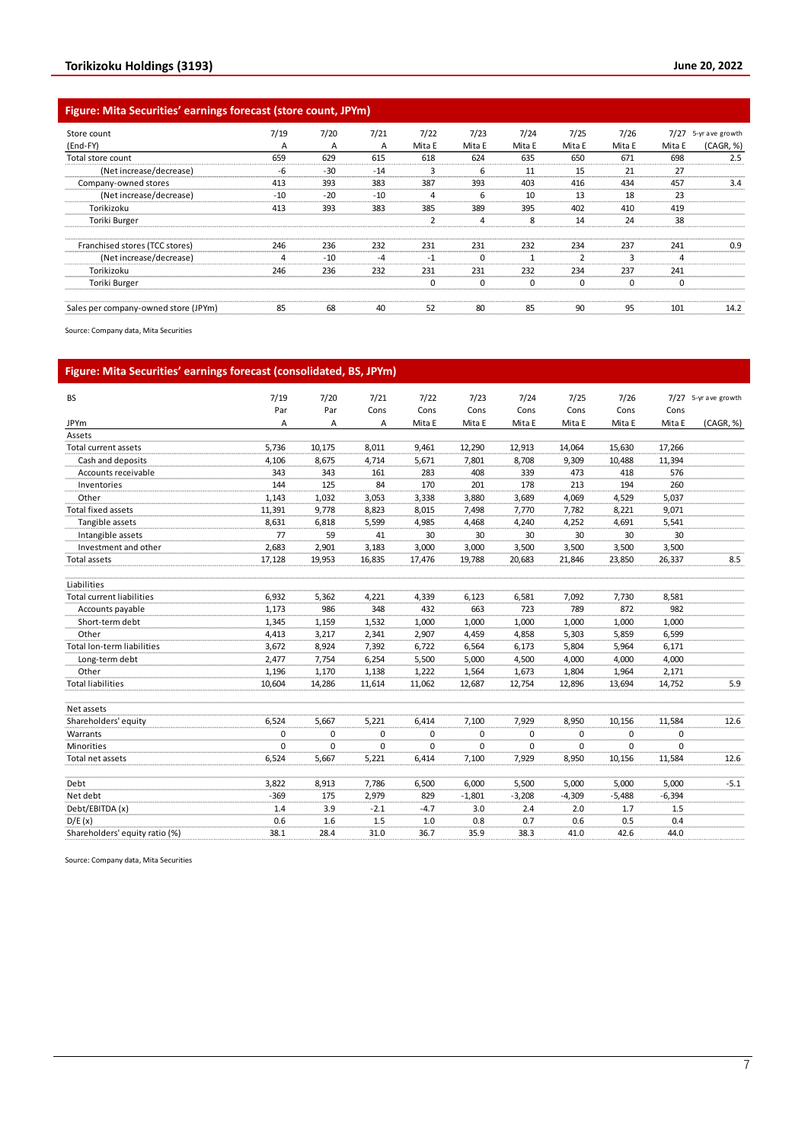### **Figure: Mita Securities' earnings forecast (store count, JPYm)**

| Store count                          | 7/19  | 7/20  | 7/21  | 7/22           | 7/23     | 7/24   | 7/25          | 7/26   | 7/27   | 5-yr ave growth |
|--------------------------------------|-------|-------|-------|----------------|----------|--------|---------------|--------|--------|-----------------|
| (End-FY)                             | A     | A     | А     | Mita E         | Mita E   | Mita E | Mita E        | Mita E | Mita E | (CAGR, %)       |
| Total store count                    | 659   | 629   | 615   | 618            | 624      | 635    | 650           | 671    | 698    | 2.5             |
| (Net increase/decrease)              | -6    | $-30$ | $-14$ | 3              | 6        | 11     | 15            | 21     | 27     |                 |
| Company-owned stores                 | 413   | 393   | 383   | 387            | 393      | 403    | 416           | 434    | 457    | 3.4             |
| (Net increase/decrease)              | $-10$ | $-20$ | $-10$ | 4              | 6        | 10     | 13            | 18     | 23     |                 |
| Torikizoku                           | 413   | 393   | 383   | 385            | 389      | 395    | 402           | 410    | 419    |                 |
| Toriki Burger                        |       |       |       | $\overline{2}$ | 4        | 8      | 14            | 24     | 38     |                 |
|                                      |       |       |       |                |          |        |               |        |        |                 |
| Franchised stores (TCC stores)       | 246   | 236   | 232   | 231            | 231      | 232    | 234           | 237    | 241    | 0.9             |
| (Net increase/decrease)              | 4     | $-10$ | $-4$  | $-1$           | $\Omega$ |        | $\mathcal{P}$ | 3      | 4      |                 |
| Torikizoku                           | 246   | 236   | 232   | 231            | 231      | 232    | 234           | 237    | 241    |                 |
| Toriki Burger                        |       |       |       | $\mathbf 0$    | $\Omega$ | 0      | 0             | 0      | 0      |                 |
| Sales per company-owned store (JPYm) | 85    | 68    | 40    | 52             | 80       | 85     | 90            | 95     | 101    | 14.2            |

Source: Company data, Mita Securities

## **Figure: Mita Securities' earnings forecast (consolidated, BS, JPYm)**

| <b>BS</b>                         | 7/19   | 7/20   | 7/21     | 7/22   | 7/23     | 7/24     | 7/25     | 7/26        |          | 7/27 5-yr ave growth |
|-----------------------------------|--------|--------|----------|--------|----------|----------|----------|-------------|----------|----------------------|
|                                   | Par    | Par    | Cons     | Cons   | Cons     | Cons     | Cons     | Cons        | Cons     |                      |
| <b>JPYm</b>                       | Α      | A      | Α        | Mita E | Mita E   | Mita E   | Mita E   | Mita E      | Mita E   | (CAGR, %)            |
| Assets                            |        |        |          |        |          |          |          |             |          |                      |
| Total current assets              | 5,736  | 10,175 | 8,011    | 9,461  | 12,290   | 12,913   | 14,064   | 15,630      | 17,266   |                      |
| Cash and deposits                 | 4,106  | 8,675  | 4,714    | 5,671  | 7,801    | 8,708    | 9,309    | 10,488      | 11,394   |                      |
| Accounts receivable               | 343    | 343    | 161      | 283    | 408      | 339      | 473      | 418         | 576      |                      |
| Inventories                       | 144    | 125    | 84       | 170    | 201      | 178      | 213      | 194         | 260      |                      |
| Other                             | 1,143  | 1,032  | 3,053    | 3,338  | 3,880    | 3,689    | 4,069    | 4,529       | 5,037    |                      |
| <b>Total fixed assets</b>         | 11,391 | 9,778  | 8,823    | 8,015  | 7,498    | 7,770    | 7,782    | 8,221       | 9,071    |                      |
| Tangible assets                   | 8,631  | 6,818  | 5,599    | 4,985  | 4,468    | 4,240    | 4,252    | 4,691       | 5,541    |                      |
| Intangible assets                 | 77     | 59     | 41       | 30     | 30       | 30       | 30       | 30          | 30       |                      |
| Investment and other              | 2,683  | 2,901  | 3,183    | 3,000  | 3,000    | 3,500    | 3,500    | 3,500       | 3,500    |                      |
| Total assets                      | 17,128 | 19,953 | 16,835   | 17,476 | 19,788   | 20,683   | 21,846   | 23,850      | 26,337   | 8.5                  |
| Liabilities                       |        |        |          |        |          |          |          |             |          |                      |
| <b>Total current liabilities</b>  | 6,932  | 5,362  | 4,221    | 4,339  | 6,123    | 6,581    | 7,092    | 7,730       | 8,581    |                      |
| Accounts payable                  | 1,173  | 986    | 348      | 432    | 663      | 723      | 789      | 872         | 982      |                      |
| Short-term debt                   | 1,345  | 1,159  | 1,532    | 1,000  | 1,000    | 1,000    | 1,000    | 1,000       | 1,000    |                      |
| Other                             | 4,413  | 3,217  | 2,341    | 2.907  | 4,459    | 4,858    | 5,303    | 5,859       | 6,599    |                      |
| <b>Total lon-term liabilities</b> | 3,672  | 8,924  | 7,392    | 6,722  | 6,564    | 6,173    | 5,804    | 5,964       | 6,171    |                      |
| Long-term debt                    | 2,477  | 7,754  | 6,254    | 5,500  | 5,000    | 4,500    | 4,000    | 4,000       | 4,000    |                      |
| Other                             | 1,196  | 1,170  | 1,138    | 1,222  | 1,564    | 1,673    | 1,804    | 1,964       | 2,171    |                      |
| <b>Total liabilities</b>          | 10,604 | 14,286 | 11,614   | 11,062 | 12,687   | 12,754   | 12,896   | 13,694      | 14,752   | 5.9                  |
| Net assets                        |        |        |          |        |          |          |          |             |          |                      |
| Shareholders' equity              | 6,524  | 5,667  | 5,221    | 6,414  | 7,100    | 7,929    | 8,950    | 10,156      | 11,584   | 12.6                 |
| Warrants                          | 0      | 0      | $\Omega$ | 0      | 0        | 0        | $\Omega$ | 0           | 0        |                      |
| <b>Minorities</b>                 | 0      | 0      | 0        | 0      | 0        | $\Omega$ | $\Omega$ | $\mathbf 0$ | $\Omega$ |                      |
| Total net assets                  | 6,524  | 5,667  | 5,221    | 6,414  | 7,100    | 7,929    | 8,950    | 10,156      | 11,584   | 12.6                 |
| Debt                              | 3,822  | 8,913  | 7,786    | 6,500  | 6,000    | 5,500    | 5,000    | 5,000       | 5,000    | $-5.1$               |
| Net debt                          | $-369$ | 175    | 2,979    | 829    | $-1,801$ | $-3,208$ | $-4,309$ | $-5,488$    | $-6,394$ |                      |
| Debt/EBITDA (x)                   | 1.4    | 3.9    | $-2.1$   | $-4.7$ | 3.0      | 2.4      | 2.0      | 1.7         | 1.5      |                      |
| D/E(x)                            | 0.6    | 1.6    | 1.5      | 1.0    | 0.8      | 0.7      | 0.6      | 0.5         | 0.4      |                      |
| Shareholders' equity ratio (%)    | 38.1   | 28.4   | 31.0     | 36.7   | 35.9     | 38.3     | 41.0     | 42.6        | 44.0     |                      |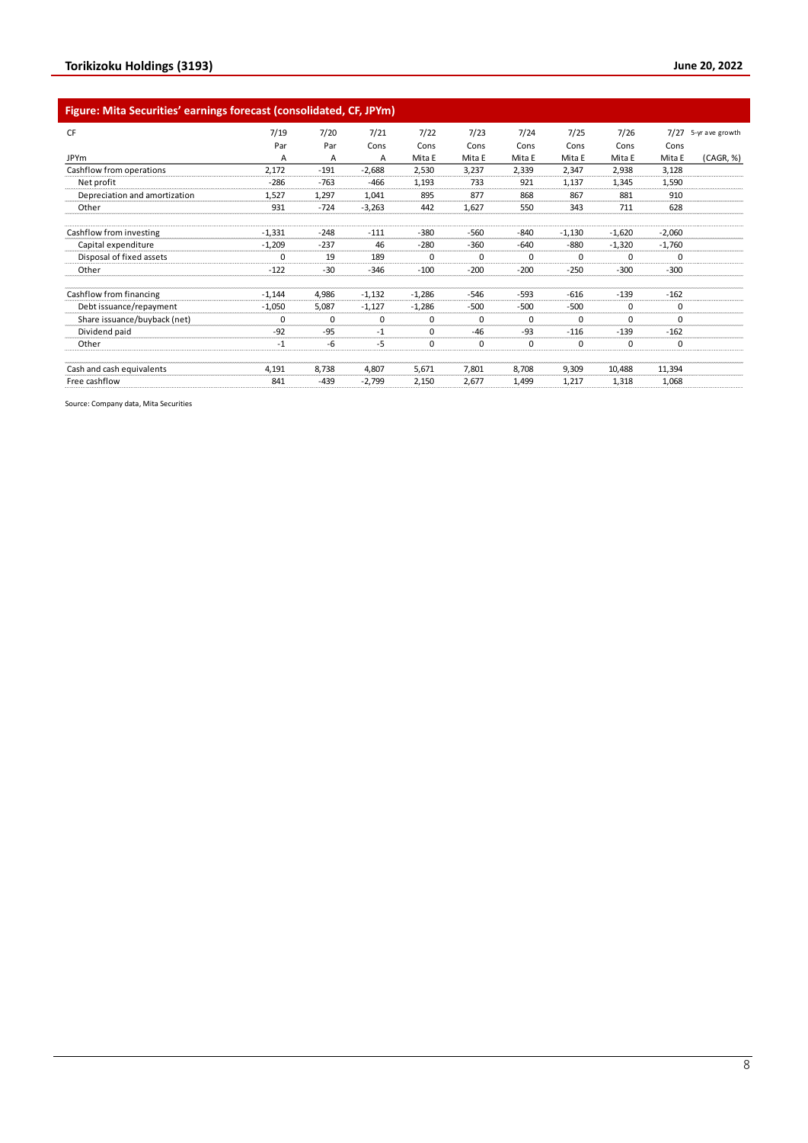### **Figure: Mita Securities' earnings forecast (consolidated, CF, JPYm)**

| <b>CF</b>                     | 7/19     | 7/20     | 7/21     | 7/22        | 7/23        | 7/24     | 7/25     | 7/26     |          | 7/27 5-yr ave growth |
|-------------------------------|----------|----------|----------|-------------|-------------|----------|----------|----------|----------|----------------------|
|                               | Par      | Par      | Cons     | Cons        | Cons        | Cons     | Cons     | Cons     | Cons     |                      |
| <b>JPYm</b>                   | А        | Α        | Α        | Mita E      | Mita E      | Mita E   | Mita E   | Mita E   | Mita E   | (CAGR, %)            |
| Cashflow from operations      | 2,172    | $-191$   | $-2,688$ | 2,530       | 3,237       | 2,339    | 2,347    | 2,938    | 3,128    |                      |
| Net profit                    | $-286$   | $-763$   | $-466$   | 1,193       | 733         | 921      | 1,137    | 1,345    | 1,590    |                      |
| Depreciation and amortization | 1,527    | 1,297    | 1,041    | 895         | 877         | 868      | 867      | 881      | 910      |                      |
| Other                         | 931      | $-724$   | $-3,263$ | 442         | 1,627       | 550      | 343      | 711      | 628      |                      |
| Cashflow from investing       | $-1,331$ | $-248$   | $-111$   | $-380$      | $-560$      | $-840$   | $-1,130$ | $-1,620$ | $-2,060$ |                      |
| Capital expenditure           | $-1,209$ | $-237$   | 46       | $-280$      | $-360$      | $-640$   | $-880$   | $-1,320$ | $-1,760$ |                      |
| Disposal of fixed assets      | $\Omega$ | 19       | 189      | 0           | $\Omega$    | 0        | $\Omega$ | 0        | 0        |                      |
| Other                         | $-122$   | $-30$    | $-346$   | $-100$      | $-200$      | $-200$   | $-250$   | $-300$   | $-300$   |                      |
| Cashflow from financing       | $-1,144$ | 4,986    | $-1,132$ | $-1,286$    | $-546$      | $-593$   | $-616$   | $-139$   | $-162$   |                      |
| Debt issuance/repayment       | $-1,050$ | 5,087    | $-1,127$ | $-1,286$    | $-500$      | $-500$   | $-500$   | 0        | 0        |                      |
| Share issuance/buyback (net)  | $\Omega$ | $\Omega$ | $\Omega$ | $\mathbf 0$ | $\Omega$    | $\Omega$ | $\Omega$ | $\Omega$ | $\Omega$ |                      |
| Dividend paid                 | $-92$    | $-95$    | $-1$     | $\Omega$    | $-46$       | $-93$    | $-116$   | $-139$   | $-162$   |                      |
| Other                         | $-1$     | -6       | $-5$     | 0           | $\mathbf 0$ | 0        | 0        | 0        | 0        |                      |
| Cash and cash equivalents     | 4,191    | 8,738    | 4,807    | 5,671       | 7,801       | 8,708    | 9,309    | 10,488   | 11,394   |                      |
| Free cashflow                 | 841      | $-439$   | $-2,799$ | 2,150       | 2,677       | 1,499    | 1,217    | 1,318    | 1,068    |                      |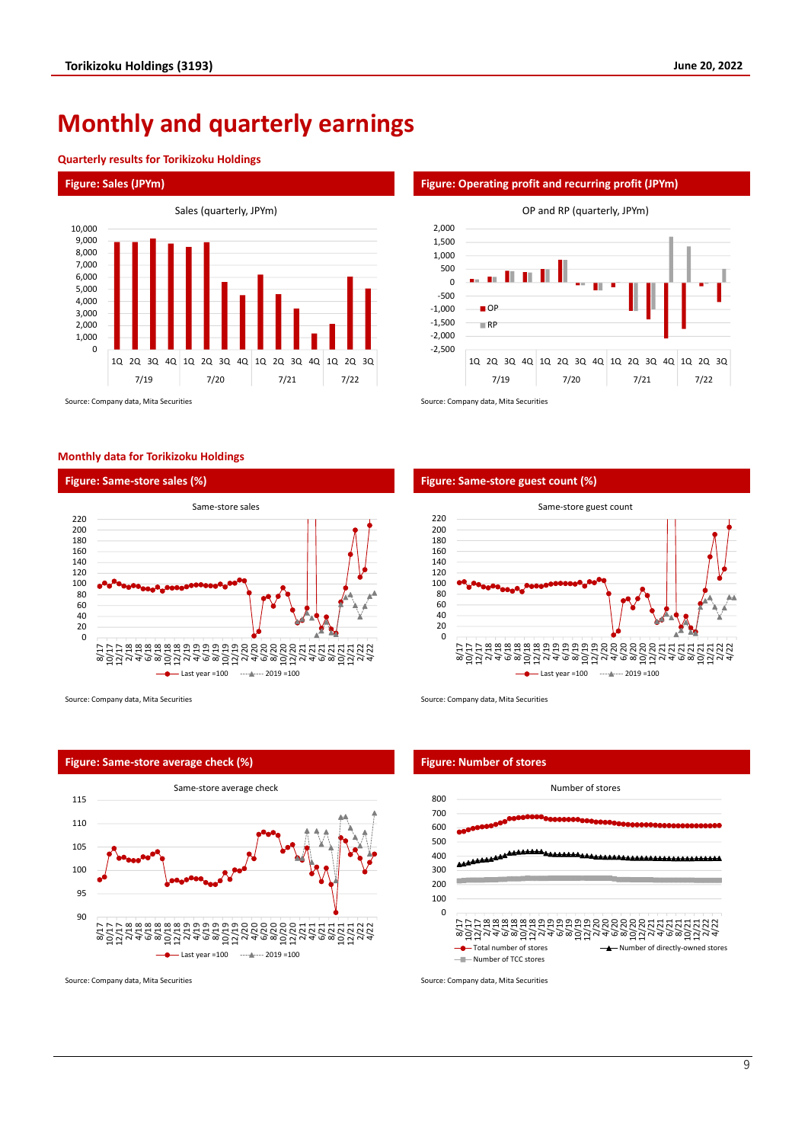# **Monthly and quarterly earnings**

#### **Quarterly results for Torikizoku Holdings**

#### **Figure: Sales (JPYm) Figure: Operating profit and recurring profit (JPYm)**



Source: Company data, Mita Securities Source: Company data, Mita Securities Source: Company data, Mita Securities

#### **Monthly data for Torikizoku Holdings**



Source: Company data, Mita Securities Source: Company data, Mita Securities Source: Company data, Mita Securities

# 90 95 100 105 110 115 8/17 10/17 12/17 2/18 4/18 6/18 8/18 10/18 12/18 2/19 4/19 6/19 8/19 10/19 12/19 2/20 4/20 6/20 8/20 10/20 12/20 2/21 4/21 6/21 8/21 10/21 12/21 2/22 4/22 Same-store average check Last year =100 ------------- 2019 =100

Source: Company data, Mita Securities Source: Company data, Mita Securities Source: Company data, Mita Securities

#### **Figure: Same-store sales (%) Figure: Same-store guest count (%)**

-2,500 -2,000 -1,500 -1,000 -500 0 500 1,000 1,500 2,000

■OP RP



1Q 2Q 3Q 4Q 1Q 2Q 3Q 4Q 1Q 2Q 3Q 4Q 1Q 2Q 3Q 7/19 7/20 7/21 7/22

OP and RP (quarterly, JPYm)

#### **Figure: Same-store average check (%) Figure: Number of stores**



### 9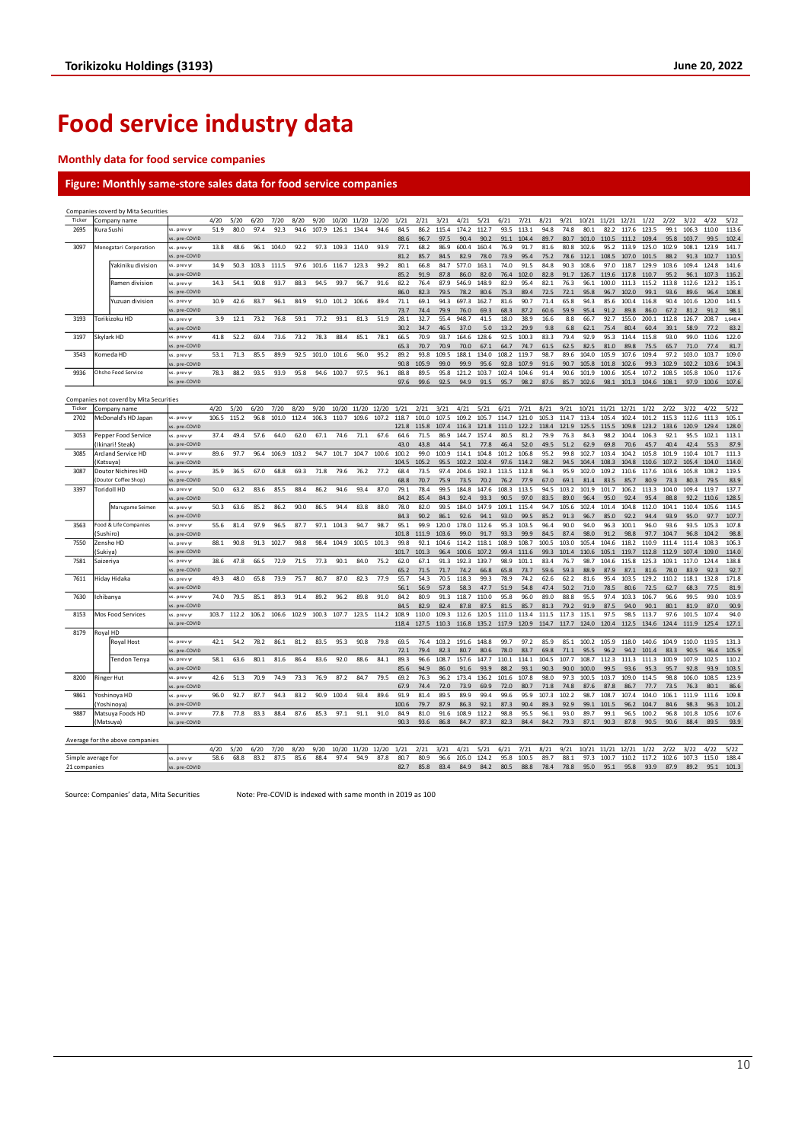# **Food service industry data**

#### **Monthly data for food service companies**

### **Figure: Monthly same-store sales data for food service companies**

|                                         | Companies coverd by Mita Securities |                                 |                            |             |       |       |             |       |       |            |             |       |               |               |               |                |                |                |               |               |                |               |               |                |                |               |                     |                |                |
|-----------------------------------------|-------------------------------------|---------------------------------|----------------------------|-------------|-------|-------|-------------|-------|-------|------------|-------------|-------|---------------|---------------|---------------|----------------|----------------|----------------|---------------|---------------|----------------|---------------|---------------|----------------|----------------|---------------|---------------------|----------------|----------------|
| Ticker                                  |                                     | company name                    |                            | 4/20        | 5/20  | 6/20  | 7/20        | 8/20  | 9/20  | 10/20      | 11/20       | 12/20 | 1/21          | 2/21          | 3/21          | 4/21           | 5/21           | 6/21           | 7/21          | 8/21          | 9/21           | 10/21         | 11/21         | 12/21          | 1/22           | 2/22          | 3/22                | 4/22           | 5/22           |
| 2695<br>Kura Sushi                      |                                     | s, prev vr                      | 51.9                       | 80.0        | 97.4  | 92.3  | 94.6        | 107.9 | 126.1 | 134.4      | 94.6        | 84.5  | 86.2          | 115.4         | 174.2         | 112.7          | 93.5           | 113.1          | 94.8          | 74.8          | 80.1           | 82.2          | 117.6         | 123.5          | 99.1           | 106.3         | 110.0               | 113.6          |                |
|                                         |                                     |                                 | s. pre-COVID               |             |       |       |             |       |       |            |             |       | 88.6          | 96.7          | 97.5          | 90.4           | 90.2           | 91.1           | 104.4         | 89.7          | 80.7           | 101.0         | 110.5         | 111.2          | 109.4          | 95.8          | 103.7               | 99.5           | 102.4          |
| 3097                                    |                                     | Monogatari Corporation          | s. prevy                   | 13.8        | 48.6  | 96.1  | 104.0       | 92.2  | 97.3  | 109.3      | 114.0       | 93.9  | 77.1          | 68.2          | 86.9          | 600.4          | 160.4          | 76.9           | 91.7          | 81.6          | 80.8           | 102.6         | 95.2          | 113.9          | 125.0          | 102.9         | 108.1               | 123.9          | 141.7          |
|                                         |                                     |                                 | s. pre-COVID               |             |       |       |             |       |       |            |             |       | 81.2          | 85.7          | 84.5          | 82.9           | 78.0           | 73.9           | 95.4          | 75.2          | 78.6           | 112.1         | 108.5         | 107.0          | 101.5          | 88.2          | 91.3                | 102.7          | 110.5          |
|                                         |                                     | Yakiniku division               | vs. prev yr                | 14.9        | 50.3  | 103.3 | 111.5       | 97.6  | 101.6 | 116.7      | 123.3       | 99.2  | 80.1          | 66.8          | 84.7          | 577.0          | 163.1          | 74.0           | 91.5          | 84.8          | 90.3           | 108.6         | 97.0          | 118.7          | 129.9          | 103.6         | 109.4               | 124.8          | 141.6          |
|                                         |                                     |                                 | s. pre-COVID               |             |       |       |             |       |       |            |             |       | 85.2          | 91.9          | 87.8          | 86.0           | 82.0           | 76.4           | 102.0         | 82.8          | 91.7           | 126.7         | 119.6         | 117.8          | 110.7          | 95.2          | 96.1                | 107.3          | 116.2          |
|                                         |                                     | Ramen division                  | s. prev yr                 | 14.3        | 54.1  | 90.8  | 93.7        | 88.3  | 94.5  | 99.7       | 96.7        | 91.6  | 82.2          | 76.4          | 87.9          | 546.9          | 148.9          | 82.9           | 95.4          | 82.1          | 76.3           | 96.1          | 100.0         | 111.3          | 115.2          | 113.8         | 112.6               | 123.2          | 135.1          |
|                                         |                                     |                                 | s. pre-COVID               |             |       |       |             |       |       |            |             |       | 86.0          | 82.3          | 79.5          | 78.2           | 80.6           | 75.3           | 89.4          | 72.5          | 72.1           | 95.8          | 96.7          | 102.0          | 99.1           | 93.6          | 89.6                | 96.4           | 108.8          |
|                                         |                                     | Yuzuan division                 | vs. prev vr                | 10.9        | 42.6  | 83.7  | 96.1        | 84.9  | 91.0  | 101.2      | 106.6       | 89.4  | 71.1          | 69.1          | 94.3          | 697.3          | 162.7          | 81.6           | 90.7          | 71.4          | 65.8           | 94.3          | 85.6          | 100.4          | 116.8          | 90.4          | 101.6               | 120.0          | 141.5          |
|                                         |                                     |                                 | s. pre-COVID               |             |       |       |             |       |       |            |             |       | 73.7          | 74.4          | 79.9          | 76.0           | 69.3           | 68.3           | 87.2          | 60.6          | 59.9           | 95.4          | 91.2          | 89.8           | 86.0           | 67.2          | 81.2                | 91.2           | 98.1           |
| 3193                                    |                                     | Torikizoku HD                   | vs. prevy                  | 3.9         | 12.1  | 73.2  | 76.8        | 59.1  | 77.2  | 93.1       | 81.3        | 51.9  | 28.1          | 32.7          | 55.4          | 948.7          | 41.5           | 18.0           | 38.9          | 16.6          | 8.8            | 66.7          | 92.7          | 155.0          | 200.1          | 112.8         | 126.7               | 208.7          | 1,648.4        |
|                                         |                                     |                                 | s. pre-COVID               |             |       |       |             |       |       |            |             |       | 30.2          | 34.7          | 46.5          | 37.0           | 5.0            | 13.2           | 29.9          | 9.8           | 6.8            | 62.1          | 75.4          | 80.4           | 60.4           | 39.1          | 58.9                | 77.2           | 83.2           |
| 3197                                    | Skylark HD                          |                                 | vs. prev vi                | 41.8        | 52.2  | 69.4  | 73.6        | 73.2  | 78.3  | 88.4       | 85.1        | 78.1  | 66.5          | 70.9          | 93.7          | 164.6          | 128.6          | 92.5           | 100.3         | 83.3          | 79.4           | 92.9          | 95.3          | 114.4          | 115.8          | 93.0          | 99.0                | 110.6          | 122.0          |
|                                         |                                     |                                 | s. pre-COVID               |             |       |       |             |       |       |            |             |       | 65.3          | 70.7          | 70.9          | 70.0           | 67.1           | 64.7           | 74.7          | 61.5          | 62.5           | 82.5          | 81.0          | 89.8           | 75.5           | 65.7          | 71.0                | 77.4           | 81.7           |
| 3543                                    |                                     | Komeda HD                       | s. prev vr                 | 53.1        | 71.3  | 85.5  | 899         | 92.5  | 101.0 | 101.6      | 96.0        | 95.2  | 89.2          | 93.8          | 109.5         | 188.1          | 134.0          | 108.2          | 119.7         | 98.7          | 89.6           | 104.0         | 105.9         | 107.6          | 109.4          | 97.2          | 103.0               | 103.7          | 109.0          |
|                                         |                                     |                                 | s. pre-COVID               |             |       |       |             |       |       |            |             |       | 90.8          | 105.9         | 99.0          | 99.9           | 95.6           | 92.8           | 107.9         | 91.6          | 90.7           | 105.8         | 101.8         | 102.6          | 99.3           | 102.9         | 102.2               | 103.6          | 104.3          |
| 9936                                    |                                     | Ohsho Food Service              | vs. prevy                  | 78.3        | 88.2  | 93.5  | 93.9        | 95.8  |       | 94.6 100.7 | 97.5        | 96.1  | 88.8          | 89.5          | 95.8          | 121.2          | 103.7          | 102.4          | 104.6         | 91.4          | 90.6           | 101.9         | 100.6         | 105.4          | 107.2          | 108.5         | 105.8               | 106.0          | 117.6          |
|                                         |                                     |                                 | s. pre-COVID               |             |       |       |             |       |       |            |             |       | 97.6          | 99.6          | 92.5          | 94.9           | 91.5           | 95.7           | 98.2          | 87.6          | 85.7           | 102.6         | 98.1          | 101.3          | 104.6 108.1    |               | 97.9                | 100.6          | 107.6          |
| Companies not coverd by Mita Securities |                                     |                                 |                            |             |       |       |             |       |       |            |             |       |               |               |               |                |                |                |               |               |                |               |               |                |                |               |                     |                |                |
|                                         |                                     |                                 |                            |             |       |       |             |       |       |            |             |       |               |               |               |                |                |                |               |               |                |               |               |                |                |               |                     |                |                |
| Ticker                                  |                                     | Company name                    |                            | 4/20        | 5/20  | 6/20  | 7/20        | 8/20  | 9/20  | 10/20      | 11/20       | 12/20 | 1/21          | 2/21          | 3/21          | 4/21           | 5/21           | 6/21           | 7/21          | 8/21          | 9/21           | 10/21         | 11/21         | 12/21          | 1/22           | 2/22          | 3/22                | 4/22           | 5/22           |
| 2702                                    |                                     | McDonald's HD Japan             | s. prev yr<br>s. pre-COVID | 106.5       | 115.2 | 96.8  | 101.0       | 112.4 | 106.3 | 110.7      | 109.6       | 107.2 | 118.7         | 101.0         | 107.5         | 109.2          | 105.7          | 114.7<br>111.0 | 121.0         | 105.3         | 114.7<br>121.9 | 113.4         | 105.4         | 102.4          | 101.2          | 115.3         | 112.6               | 111.3          | 105.1          |
| 3053                                    |                                     |                                 |                            | 37.4        | 49.4  | 57.6  | 64.0        | 62.0  | 67.1  | 74.6       | 71.1        | 67.6  | 121.8<br>64.6 | 115.8<br>71.5 | 107.4<br>86.9 | 116.3<br>144.7 | 121.8<br>157.4 | 80.5           | 122.2<br>81.2 | 118.4<br>79.9 | 76.3           | 125.5<br>84.3 | 115.5<br>98.2 | 109.8<br>104.4 | 123.2<br>106.3 | 92.1          | 133.6 120.9<br>95.5 | 129.4<br>102.1 | 128.0<br>113.1 |
|                                         |                                     | Pepper Food Service             | vs. prev v                 |             |       |       |             |       |       |            |             |       |               |               |               |                |                |                |               |               |                |               |               |                |                |               |                     |                |                |
| 3085                                    |                                     | Ikinari! Steak                  | s. pre-COVID<br>s. prev yr | 89.6        | 97.7  | 96.4  | 106.9       | 103.2 | 94.7  | 101.7      | 104.7       | 100.6 | 43.0<br>100.2 | 43.8<br>99.0  | 44.4<br>100.9 | 54.1<br>114.1  | 77.8<br>104.8  | 46.4<br>101.2  | 52.0<br>106.8 | 49.5<br>95.2  | 51.2<br>99.8   | 62.9<br>102.7 | 69.8<br>103.4 | 70.6<br>104.2  | 45.7<br>105.8  | 40.4<br>101.9 | 42.4<br>110.4       | 55.3<br>101.7  | 87.9<br>111.3  |
|                                         | Katsuya)                            | Arcland Service HD              | s. pre-COVID               |             |       |       |             |       |       |            |             |       | 104.5         | 105.2         | 95.5          | 102.2          | 102.4          | 97.6           | 114.2         | 98.2          | 94.5           | 104.4         | 108.3         | 104.8          | 110.6          | 107.2         | 105.4               | 104.0          | 114.0          |
| 3087                                    |                                     | Doutor Nichires HD              | s. prev yr                 | 35.9        | 36.5  | 67.0  | 68.8        | 69.3  | 71.8  | 79.6       | 76.2        | 77.2  | 68.4          | 73.5          | 97.4          | 204.6          | 192.3          | 113.5          | 112.8         | 96.3          | 95.9           | 102.0         | 109.2         | 110.6          | 117.6          | 103.6         | 105.8               | 108.2          | 119.5          |
|                                         |                                     | Doutor Coffee Shop)             | s. pre-COVID               |             |       |       |             |       |       |            |             |       | 68.8          | 70.7          | 75.9          | 73.5           | 70.2           | 76.2           | 77.9          | 67.0          | 69.1           | 81.4          | 83.5          | 85.7           | 80.9           | 73.3          | 80.3                | 79.5           | 83.9           |
| 3397                                    |                                     | Toridoll HD                     | s, prev v                  | 50.0        | 63.2  | 83.6  | 85.5        | 88.4  | 86.2  | 94.6       | 93.4        | 87.0  | 79.1          | 78.4          | 99.5          | 184.8          | 147.6          | 108.3          | 113.5         | 94.5          | 103.2          | 101.9         | 101.7         | 106.2          | 113.3          | 104.0         | 109.4               | 119.7          | 137.7          |
|                                         |                                     |                                 | s. pre-COVID               |             |       |       |             |       |       |            |             |       | 84.2          | 85.4          | 84.3          | 92.4           | 93.3           | 90.5           | 97.0          | 83.5          | 89.0           | 96.4          | 95.0          | 92.4           | 95.4           | 88.8          | 92.2                | 110.6          | 128.5          |
|                                         |                                     | Marugame Seimen                 | vs. prev yr                | 50.3        | 63.6  | 85.2  | 86.2        | 90.0  | 86.5  | 94.4       | 83.8        | 88.0  | 78.0          | 82.0          | 99.5          | 184.0          | 147.9          | 109.1          | 115.4         | 94.7          | 105.6          | 102.4         | 101.4         | 104.8          | 112.0          | 104.1         | 110.4               | 105.6          | 114.5          |
|                                         |                                     |                                 | s. pre-COVID               |             |       |       |             |       |       |            |             |       | 84.3          | 90.2          | 86.1          | 92.6           | 94.1           | 93.0           | 99.5          | 85.2          | 91.3           | 96.7          | 85.0          | 92.2           | 94.4           | 93.9          | 95.0                | 97.7           | 107.7          |
| 3563                                    |                                     | Food & Life Companies           | vs. prev yr                | 55.6        | 81.4  | 97.9  | 96.5        | 87.7  | 97.1  | 104.3      | 94.7        | 98.7  | 95.1          | 99.9          | 120.0         | 178.0          | 112.6          | 95.3           | 103.5         | 96.4          | 90.0           | 94.0          | 96.3          | 100.1          | 96.0           | 93.6          | 93.5                | 105.3          | 107.8          |
|                                         | Sushirol                            |                                 | vs. pre-COVID              |             |       |       |             |       |       |            |             |       | 101.8         | 111.9         | 103.6         | 99.0           | 91.7           | 93.3           | 99.9          | 84.5          | 87.4           | 98.0          | 91.2          | 98.8           | 97.7           | 104.7         | 96.8                | 104.2          | 98.8           |
| 7550                                    |                                     | Zensho HD                       | s. prev yr                 | 88.1        | 90.8  | 91.3  | 102.7       | 98.8  | 98.4  | 104.9      | 100.5       | 101.3 | 99.8          | 92.1          | 104.6         | 114.2          | 118.1          | 108.9          | 108.7         | 100.5         | 103.0          | 105.4         | 104.6         | 118.2          | 110.9          | 111.4         | 111.4               | 108.3          | 106.3          |
|                                         | Sukiya)                             |                                 | s. pre-COVID               |             |       |       |             |       |       |            |             |       | 101.7         | 101.3         | 96.4          | 100.6          | 107.2          | 99.4           | 111.6         | 99.3          | 101.4          | 110.6         | 105.1         | 119.7          | 112.8          | 112.9         | 107.4               | 109.0          | 114.0          |
| 7581                                    | Saizeriya                           |                                 | rs. prevy                  | 38.6        | 47.8  | 66.5  | 72.9        | 71.5  | 77.3  | 90.1       | 84.0        | 75.2  | 62.0          | 67.1          | 91.3          | 192.3          | 139.7          | 98.9           | 101.1         | 83.4          | 76.7           | 98.7          | 104.6         | 115.8          | 125.3          | 109.1         | 117.0               | 124.4          | 138.8          |
|                                         |                                     |                                 | s. pre-COVID               |             |       |       |             |       |       |            |             |       | 65.2          | 71.5          | 71.7          | 74.2           | 66.8           | 65.8           | 73.7          | 59.6          | 59.3           | 88.9          | 87.9          | 87.1           | 81.6           | 78.0          | 83.9                | 92.3           | 92.7           |
| 7611                                    |                                     | Hiday Hidaka                    | s. prevy                   | 49.3        | 48.0  | 65.8  | 73.9        | 75.7  | 80.7  | 87.0       | 82.3        | 77.9  | 55.7          | 54.3          | 70.5          | 118.3          | 99.3           | 78.9           | 74.2          | 62.6          | 62.2           | 81.6          | 95.4          | 103.5          | 129.2          | 110.2         | 118.1               | 132.8          | 171.8          |
|                                         |                                     |                                 | s. pre-COVID               |             |       |       |             |       |       |            |             |       | 56.1          | 56.9          | 57.8          | 58.3           | 47.7           | 51.9           | 54.8          | 47.4          | 50.2           | 71.0          | 78.5          | 80.6           | 72.5           | 62.7          | 68.3                | 77.5           | 81.9           |
| 7630                                    | chibanya                            |                                 | s. prev vr                 | 74.0        | 79.5  | 85.1  | 89.3        | 91.4  | 89.2  | 96.2       | 89.8        | 91.0  | 84.2          | 80.9          | 91.3          | 118.7          | 110.0          | 95.8           | 96.0          | 89.0          | 88.8           | 95.5          | 97.4          | 103.3          | 106.7          | 96.6          | 99.5                | 99.0           | 103.9          |
|                                         |                                     |                                 | s. pre-COVID               |             |       |       |             |       |       |            |             |       | 84.5          | 82.9          | 82.4          | 87.8           | 87.5           | 81.5           | 85.7          | 81.3          | 79.2           | 91.9          | 87.5          | 94.0           | 90.1           | 80.1          | 81.9                | 87.0           | 90.9           |
| 8153                                    |                                     | <b>Mos Food Services</b>        | s. prev vi                 | 103.7 112.2 |       | 106.2 | 106.6 102.9 |       | 100.3 | 107.7      | 123.5 114.2 |       | 108.9         | 110.0         | 109.3         | 112.6          | 120.5          | 111.0          | 113.4         | 111.5         | 117.3          | 115.1         | 97.5          | 98.5           | 113.7          | 97.6          | 101.5               | 107.4          | 94.0           |
|                                         |                                     |                                 | s. pre-COVID               |             |       |       |             |       |       |            |             |       | 118.4         | 127.5         | 110.3         | 116.8          | 135.2          | 117.9          | 120.9         | 114.7         | 117.7          | 124.0         | 120.4         | 112.5          | 134.6          |               | 124.4 111.9         | 125.4          | 127.1          |
| 8179                                    | Royal HD                            |                                 |                            |             |       |       |             |       |       |            |             |       |               |               |               |                |                |                |               |               |                |               |               |                |                |               |                     |                |                |
|                                         |                                     | Royal Host                      | s. prev vr                 | 42.1        | 54.2  | 78.2  | 86.1        | 81.2  | 83.5  | 95.3       | 90.8        | 79.8  | 69.5          | 76.4          | 103.2         | 191.6          | 148.8          | 99.7           | 97.2          | 85.9          | 85.1           | 100.2         | 105.9         | 118.0          | 140.6          | 104.9         | 110.0               | 119.5          | 131.3          |
|                                         |                                     |                                 | s. pre-COVID               |             |       |       |             |       |       |            |             |       | 72.1          | 79.4          | 82.3          | 80.7           | 80.6           | 78.0           | 83.7          | 69.8          | 71.1           | 95.5          | 96.2          | 94.2           | 101.4          | 83.3          | 90.5                | 96.4           | 105.9          |
|                                         |                                     | Tendon Tenya                    | s. prevy                   | 58.1        | 63.6  | 80.1  | 81.6        | 86.4  | 83.6  | 92.0       | 88.6        | 84.1  | 89.3          | 96.6          | 108.7         | 157.6          | 147.7          | 110.1          | 114.1         | 104.5         | 107.7          | 108.7         | 112.3         | 111.3          | 111.3          | 100.9         | 107.9               | 102.5          | 110.2          |
|                                         |                                     |                                 | s. pre-COVID               |             |       |       |             |       |       |            |             |       | 85.6          | 94.9          | 86.0          | 91.6           | 93.9           | 88.2           | 93.1          | 90.3          | 90.0           | 100.0         | 99.5          | 93.6           | 95.3           | 95.7          | 92.8                | 93.9           | 103.5          |
| 8200                                    |                                     | Ringer Hut                      | vs. prev v                 | 42.6        | 51.3  | 70.9  | 74.9        | 73.3  | 76.9  | 87.2       | 84.7        | 79.5  | 69.2          | 76.3          | 96.2          | 173.4          | 136.2          | 101.6          | 107.8         | 98.0          | 97.3           | 100.5         | 103.7         | 109.0          | 114.5          | 98.8          | 106.0               | 108.5          | 123.9          |
|                                         |                                     |                                 | s. pre-COVID               |             | 92.7  | 87.7  | 94.3        |       |       |            |             |       | 67.9<br>91.9  | 74.4          | 72.0          | 73.9           | 69.9           | 72.0           | 80.7          | 71.8          | 74.8           | 87.6          | 87.8          | 86.7           | 77.7           | 73.5          | 76.3                | 80.1           | 86.6           |
| 9861                                    |                                     | Yoshinoya HD                    | s, prev vr                 | 96.0        |       |       |             | 83.2  | 90.9  | 100.4      | 93.4        | 89.6  |               | 81.4          | 89.5          | 89.9           | 99.4           | 99.6           | 95.9          | 107.3         | 102.2          | 98.7          | 108.7         | 107.4          | 104.0          | 106.1         | 111.9               | 111.6          | 109.8          |
| Yoshinoya]                              |                                     | . pre-COVID                     |                            |             |       |       |             |       |       |            |             | 100.6 | 79.7          | 87.9          | 86.3          | 92.1           | 87.3           | 90.4           | 89.3          | 92.9          | 99.1           | 101.5         | 96.2          | 104.7          | 84.6           | 98.3          | 96.3                | 101.2          |                |
| 9887<br>Matsuya Foods HD                |                                     | s. prevy                        | 77.8                       | 77.8        | 83.3  | 88.4  | 87.6        | 85.3  | 97.1  | 91.1       | 91.0        | 84.9  | 81.0          | 91.6          | 108.9         | 112.2          | 98.8           | 95.5           | 96.1          | 93.0          | 89.7           | 99.1          | 96.5          | 100.2          | 96.8           | 101.8         | 105.6               | 107.6          |                |
| Matsuya)                                |                                     |                                 | s. pre-COVID               |             |       |       |             |       |       |            |             |       | 90.3          | 93.6          | 86.8          | 84.7           | 87.3           | 82.3           | 84.4          | 84.2          | 79.3           | 87.1          | 90.3          | 87.8           | 90.5           | 90.6          | 88.4                | 89.5           | 93.9           |
|                                         |                                     |                                 |                            |             |       |       |             |       |       |            |             |       |               |               |               |                |                |                |               |               |                |               |               |                |                |               |                     |                |                |
|                                         |                                     | Average for the above companies |                            | 4/20        | 5/20  | 6/20  | 7/20        | 8/20  | 9/20  | 10/20      | 11/20       | 12/20 | 1/21          | 2/21          | 3/21          | 4/21           | 5/21           | 6/21           | 7/21          | 8/21          | 9/21           | 10/21         | 11/21         | 12/21          | 1/22           | 2/22          | 3/22                | 4/22           | 5/22           |
|                                         | Simple average for                  |                                 | vs. prev yr                | 58.6        | 68.8  | 83.2  | 87.5        | 85.6  | 88.4  | 97.4       | 94.9        | 87.8  | 80.7          | 80.9          | 96.6          | 205.0          | 124.2          | 95.8           | 100.5         | 89.7          | 88.1           | 97.3          | 100.7         | 110.2          | 117.2          | 102.6         | 107.3               | 115.0          | 188.4          |
| 21 companies                            |                                     | vs. pre-COVID                   |                            |             |       |       |             |       |       |            |             | 82.7  | 85.8          | 83.4          | 84.9          | 84.2           | 80.5           | 88.8           | 78.4          | 78.8          | 95.0           | 95.1          | 95.8          | 93.9           | 87.9           | 89.2          | 95.1                | 101.3          |                |

Source: Companies' data, Mita Securities Note: Pre-COVID is indexed with same month in 2019 as 100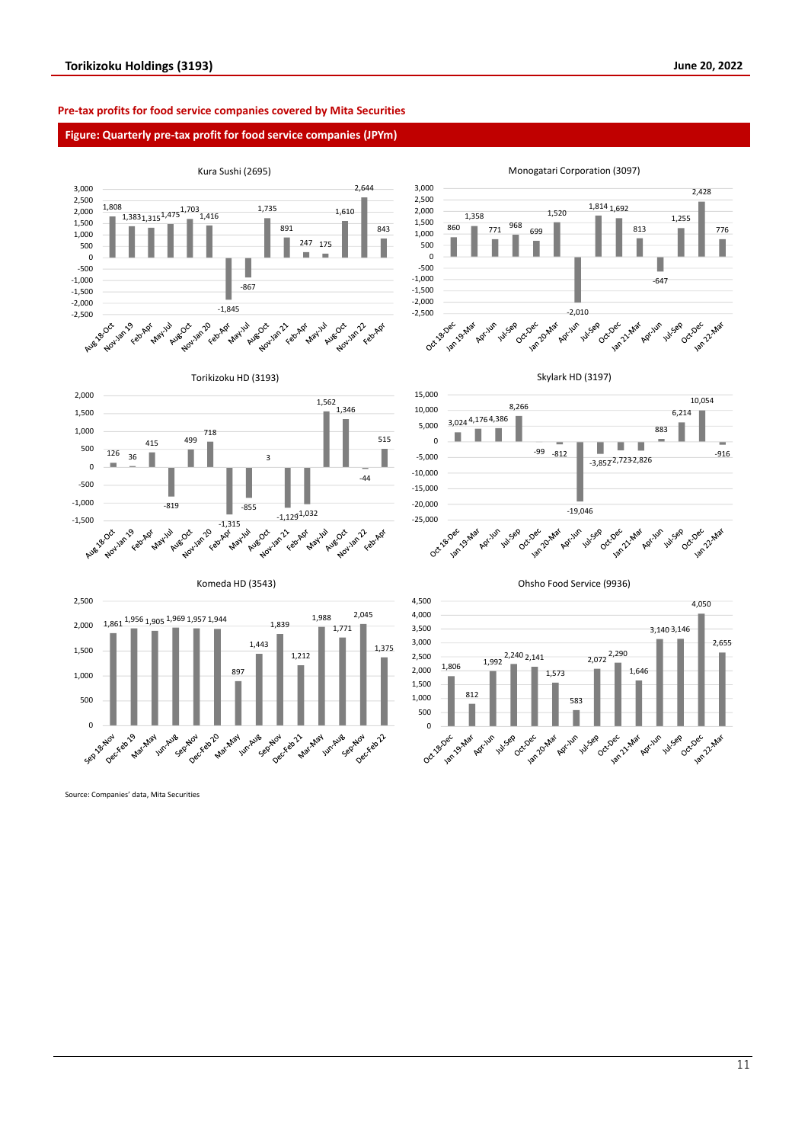#### **Pre-tax profits for food service companies covered by Mita Securities**

#### **Figure: Quarterly pre-tax profit for food service companies (JPYm)**



Source: Companies' data, Mita Securities

11